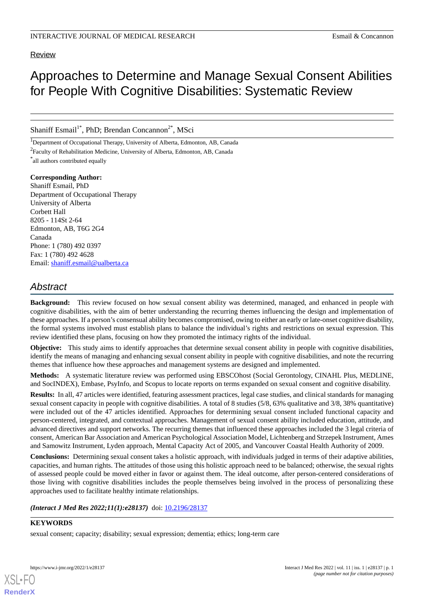## Review

# Approaches to Determine and Manage Sexual Consent Abilities for People With Cognitive Disabilities: Systematic Review

Shaniff Esmail<sup>1\*</sup>, PhD; Brendan Concannon<sup>2\*</sup>, MSci

<sup>1</sup>Department of Occupational Therapy, University of Alberta, Edmonton, AB, Canada

<sup>2</sup> Faculty of Rehabilitation Medicine, University of Alberta, Edmonton, AB, Canada

\* all authors contributed equally

**Corresponding Author:** Shaniff Esmail, PhD Department of Occupational Therapy University of Alberta Corbett Hall 8205 - 114St 2-64 Edmonton, AB, T6G 2G4 Canada Phone: 1 (780) 492 0397 Fax: 1 (780) 492 4628 Email: [shaniff.esmail@ualberta.ca](mailto:shaniff.esmail@ualberta.ca)

## *Abstract*

**Background:** This review focused on how sexual consent ability was determined, managed, and enhanced in people with cognitive disabilities, with the aim of better understanding the recurring themes influencing the design and implementation of these approaches. If a person's consensual ability becomes compromised, owing to either an early or late-onset cognitive disability, the formal systems involved must establish plans to balance the individual's rights and restrictions on sexual expression. This review identified these plans, focusing on how they promoted the intimacy rights of the individual.

**Objective:** This study aims to identify approaches that determine sexual consent ability in people with cognitive disabilities, identify the means of managing and enhancing sexual consent ability in people with cognitive disabilities, and note the recurring themes that influence how these approaches and management systems are designed and implemented.

**Methods:** A systematic literature review was performed using EBSCOhost (Social Gerontology, CINAHL Plus, MEDLINE, and SocINDEX), Embase, PsyInfo, and Scopus to locate reports on terms expanded on sexual consent and cognitive disability.

**Results:** In all, 47 articles were identified, featuring assessment practices, legal case studies, and clinical standards for managing sexual consent capacity in people with cognitive disabilities. A total of 8 studies (5/8, 63% qualitative and 3/8, 38% quantitative) were included out of the 47 articles identified. Approaches for determining sexual consent included functional capacity and person-centered, integrated, and contextual approaches. Management of sexual consent ability included education, attitude, and advanced directives and support networks. The recurring themes that influenced these approaches included the 3 legal criteria of consent, American Bar Association and American Psychological Association Model, Lichtenberg and Strzepek Instrument, Ames and Samowitz Instrument, Lyden approach, Mental Capacity Act of 2005, and Vancouver Coastal Health Authority of 2009.

**Conclusions:** Determining sexual consent takes a holistic approach, with individuals judged in terms of their adaptive abilities, capacities, and human rights. The attitudes of those using this holistic approach need to be balanced; otherwise, the sexual rights of assessed people could be moved either in favor or against them. The ideal outcome, after person-centered considerations of those living with cognitive disabilities includes the people themselves being involved in the process of personalizing these approaches used to facilitate healthy intimate relationships.

*(Interact J Med Res 2022;11(1):e28137)* doi: [10.2196/28137](http://dx.doi.org/10.2196/28137)

## **KEYWORDS**

sexual consent; capacity; disability; sexual expression; dementia; ethics; long-term care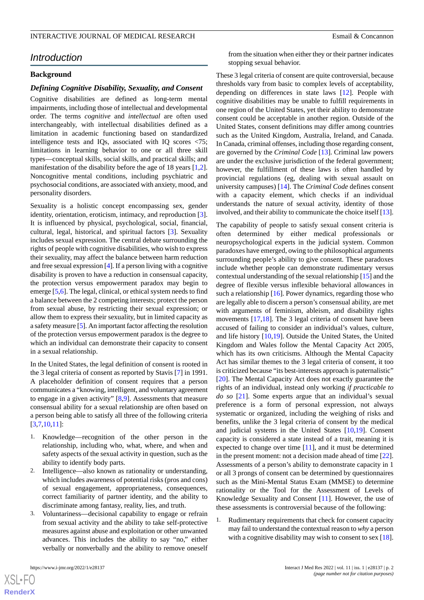## *Introduction*

## **Background**

#### *Defining Cognitive Disability, Sexuality, and Consent*

Cognitive disabilities are defined as long-term mental impairments, including those of intellectual and developmental order. The terms *cognitive* and *intellectual* are often used interchangeably, with intellectual disabilities defined as a limitation in academic functioning based on standardized intelligence tests and IQs, associated with IQ scores <75; limitations in learning behavior to one or all three skill types—conceptual skills, social skills, and practical skills; and manifestation of the disability before the age of 18 years [\[1](#page-17-0),[2\]](#page-17-1). Noncognitive mental conditions, including psychiatric and psychosocial conditions, are associated with anxiety, mood, and personality disorders.

Sexuality is a holistic concept encompassing sex, gender identity, orientation, eroticism, intimacy, and reproduction [[3\]](#page-17-2). It is influenced by physical, psychological, social, financial, cultural, legal, historical, and spiritual factors [\[3](#page-17-2)]. Sexuality includes sexual expression. The central debate surrounding the rights of people with cognitive disabilities, who wish to express their sexuality, may affect the balance between harm reduction and free sexual expression [[4\]](#page-17-3). If a person living with a cognitive disability is proven to have a reduction in consensual capacity, the protection versus empowerment paradox may begin to emerge [\[5](#page-17-4),[6\]](#page-17-5). The legal, clinical, or ethical system needs to find a balance between the 2 competing interests; protect the person from sexual abuse, by restricting their sexual expression; or allow them to express their sexuality, but in limited capacity as a safety measure [[5\]](#page-17-4). An important factor affecting the resolution of the protection versus empowerment paradox is the degree to which an individual can demonstrate their capacity to consent in a sexual relationship.

In the United States, the legal definition of consent is rooted in the 3 legal criteria of consent as reported by Stavis [\[7](#page-17-6)] in 1991. A placeholder definition of consent requires that a person communicates a "knowing, intelligent, and voluntary agreement to engage in a given activity" [[8,](#page-17-7)[9](#page-17-8)]. Assessments that measure consensual ability for a sexual relationship are often based on a person being able to satisfy all three of the following criteria [[3](#page-17-2)[,7](#page-17-6),[10](#page-17-9)[,11](#page-17-10)]:

- 1. Knowledge—recognition of the other person in the relationship, including who, what, where, and when and safety aspects of the sexual activity in question, such as the ability to identify body parts.
- 2. Intelligence—also known as rationality or understanding, which includes awareness of potential risks (pros and cons) of sexual engagement, appropriateness, consequences, correct familiarity of partner identity, and the ability to discriminate among fantasy, reality, lies, and truth.
- 3. Voluntariness—decisional capability to engage or refrain from sexual activity and the ability to take self-protective measures against abuse and exploitation or other unwanted advances. This includes the ability to say "no," either verbally or nonverbally and the ability to remove oneself

from the situation when either they or their partner indicates stopping sexual behavior.

These 3 legal criteria of consent are quite controversial, because thresholds vary from basic to complex levels of acceptability, depending on differences in state laws [[12\]](#page-17-11). People with cognitive disabilities may be unable to fulfill requirements in one region of the United States, yet their ability to demonstrate consent could be acceptable in another region. Outside of the United States, consent definitions may differ among countries such as the United Kingdom, Australia, Ireland, and Canada. In Canada, criminal offenses, including those regarding consent, are governed by the *Criminal Code* [[13\]](#page-17-12). Criminal law powers are under the exclusive jurisdiction of the federal government; however, the fulfillment of these laws is often handled by provincial regulations (eg, dealing with sexual assault on university campuses) [\[14](#page-17-13)]. The *Criminal Code* defines consent with a capacity element, which checks if an individual understands the nature of sexual activity, identity of those involved, and their ability to communicate the choice itself [\[13](#page-17-12)].

The capability of people to satisfy sexual consent criteria is often determined by either medical professionals or neuropsychological experts in the judicial system. Common paradoxes have emerged, owing to the philosophical arguments surrounding people's ability to give consent. These paradoxes include whether people can demonstrate rudimentary versus contextual understanding of the sexual relationship [\[15\]](#page-17-14) and the degree of flexible versus inflexible behavioral allowances in such a relationship  $[16]$  $[16]$ . Power dynamics, regarding those who are legally able to discern a person's consensual ability, are met with arguments of feminism, ableism, and disability rights movements [[17](#page-17-16)[,18](#page-17-17)]. The 3 legal criteria of consent have been accused of failing to consider an individual's values, culture, and life history [\[10](#page-17-9),[19\]](#page-17-18). Outside the United States, the United Kingdom and Wales follow the Mental Capacity Act 2005, which has its own criticisms. Although the Mental Capacity Act has similar themes to the 3 legal criteria of consent, it too is criticized because "its best-interests approach is paternalistic" [[20\]](#page-17-19). The Mental Capacity Act does not exactly guarantee the rights of an individual, instead only working *if practicable to do so* [[21\]](#page-17-20). Some experts argue that an individual's sexual preference is a form of personal expression, not always systematic or organized, including the weighing of risks and benefits, unlike the 3 legal criteria of consent by the medical and judicial systems in the United States [[10,](#page-17-9)[19\]](#page-17-18). Consent capacity is considered a state instead of a trait, meaning it is expected to change over time [\[11](#page-17-10)], and it must be determined in the present moment: not a decision made ahead of time [[22\]](#page-17-21). Assessments of a person's ability to demonstrate capacity in 1 or all 3 prongs of consent can be determined by questionnaires such as the Mini-Mental Status Exam (MMSE) to determine rationality or the Tool for the Assessment of Levels of Knowledge Sexuality and Consent [\[11](#page-17-10)]. However, the use of these assessments is controversial because of the following:

1. Rudimentary requirements that check for consent capacity may fail to understand the contextual reason to *why* a person with a cognitive disability may wish to consent to sex [[18\]](#page-17-17).

```
XS\cdotFC
RenderX
```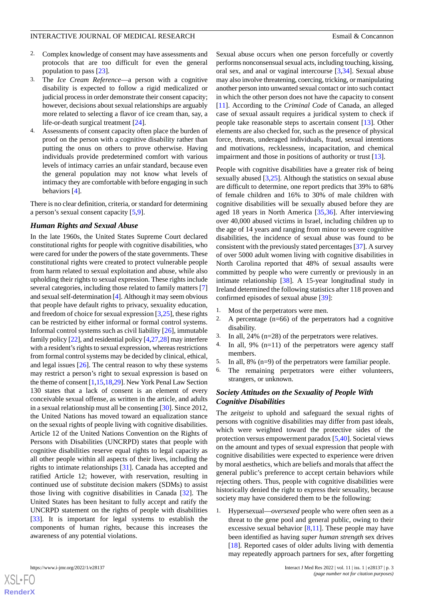- 2. Complex knowledge of consent may have assessments and protocols that are too difficult for even the general population to pass [\[23](#page-17-22)].
- 3. The *Ice Cream Reference*—a person with a cognitive disability is expected to follow a rigid medicalized or judicial process in order demonstrate their consent capacity; however, decisions about sexual relationships are arguably more related to selecting a flavor of ice cream than, say, a life-or-death surgical treatment [\[24](#page-18-0)].
- 4. Assessments of consent capacity often place the burden of proof on the person with a cognitive disability rather than putting the onus on others to prove otherwise. Having individuals provide predetermined comfort with various levels of intimacy carries an unfair standard, because even the general population may not know what levels of intimacy they are comfortable with before engaging in such behaviors [\[4](#page-17-3)].

There is no clear definition, criteria, or standard for determining a person's sexual consent capacity [\[5](#page-17-4),[9\]](#page-17-8).

#### *Human Rights and Sexual Abuse*

In the late 1960s, the United States Supreme Court declared constitutional rights for people with cognitive disabilities, who were cared for under the powers of the state governments. These constitutional rights were created to protect vulnerable people from harm related to sexual exploitation and abuse, while also upholding their rights to sexual expression. These rights include several categories, including those related to family matters [\[7](#page-17-6)] and sexual self-determination [[4](#page-17-3)]. Although it may seem obvious that people have default rights to privacy, sexuality education, and freedom of choice for sexual expression [\[3](#page-17-2),[25\]](#page-18-1), these rights can be restricted by either informal or formal control systems. Informal control systems such as civil liability [[26\]](#page-18-2), immutable family policy [\[22](#page-17-21)], and residential policy [\[4](#page-17-3)[,27](#page-18-3),[28](#page-18-4)] may interfere with a resident's rights to sexual expression, whereas restrictions from formal control systems may be decided by clinical, ethical, and legal issues [\[26](#page-18-2)]. The central reason to why these systems may restrict a person's right to sexual expression is based on the theme of consent [[1](#page-17-0)[,15](#page-17-14),[18,](#page-17-17)[29\]](#page-18-5). New York Penal Law Section 130 states that a lack of consent is an element of every conceivable sexual offense, as written in the article, and adults in a sexual relationship must all be consenting [[30\]](#page-18-6). Since 2012, the United Nations has moved toward an equalization stance on the sexual rights of people living with cognitive disabilities. Article 12 of the United Nations Convention on the Rights of Persons with Disabilities (UNCRPD) states that people with cognitive disabilities reserve equal rights to legal capacity as all other people within all aspects of their lives, including the rights to intimate relationships [[31\]](#page-18-7). Canada has accepted and ratified Article 12; however, with reservation, resulting in continued use of substitute decision makers (SDMs) to assist those living with cognitive disabilities in Canada [[32\]](#page-18-8). The United States has been hesitant to fully accept and ratify the UNCRPD statement on the rights of people with disabilities [[33\]](#page-18-9). It is important for legal systems to establish the components of human rights, because this increases the awareness of any potential violations.

Sexual abuse occurs when one person forcefully or covertly performs nonconsensual sexual acts, including touching, kissing, oral sex, and anal or vaginal intercourse [\[3](#page-17-2),[34\]](#page-18-10). Sexual abuse may also involve threatening, coercing, tricking, or manipulating another person into unwanted sexual contact or into such contact in which the other person does not have the capacity to consent [[11\]](#page-17-10). According to the *Criminal Code* of Canada*,* an alleged case of sexual assault requires a juridical system to check if people take reasonable steps to ascertain consent [[13\]](#page-17-12). Other elements are also checked for, such as the presence of physical force, threats, underaged individuals, fraud, sexual intentions and motivations, recklessness, incapacitation, and chemical impairment and those in positions of authority or trust [[13\]](#page-17-12).

People with cognitive disabilities have a greater risk of being sexually abused [\[3,](#page-17-2)[25](#page-18-1)]. Although the statistics on sexual abuse are difficult to determine, one report predicts that 39% to 68% of female children and 16% to 30% of male children with cognitive disabilities will be sexually abused before they are aged 18 years in North America [\[35](#page-18-11),[36\]](#page-18-12). After interviewing over 40,000 abused victims in Israel, including children up to the age of 14 years and ranging from minor to severe cognitive disabilities, the incidence of sexual abuse was found to be consistent with the previously stated percentages [[37\]](#page-18-13). A survey of over 5000 adult women living with cognitive disabilities in North Carolina reported that 48% of sexual assaults were committed by people who were currently or previously in an intimate relationship [[38\]](#page-18-14). A 15-year longitudinal study in Ireland determined the following statistics after 118 proven and confirmed episodes of sexual abuse [\[39](#page-18-15)]:

- 1. Most of the perpetrators were men.
- 2. A percentage (n=66) of the perpetrators had a cognitive disability.
- 3. In all, 24% (n=28) of the perpetrators were relatives.
- 4. In all, 9% (n=11) of the perpetrators were agency staff members.
- 5. In all, 8% (n=9) of the perpetrators were familiar people.
- 6. The remaining perpetrators were either volunteers, strangers, or unknown.

## *Society Attitudes on the Sexuality of People With Cognitive Disabilities*

The *zeitgeist* to uphold and safeguard the sexual rights of persons with cognitive disabilities may differ from past ideals, which were weighted toward the protective sides of the protection versus empowerment paradox [\[5](#page-17-4),[40\]](#page-18-16). Societal views on the amount and types of sexual expression that people with cognitive disabilities were expected to experience were driven by moral aesthetics, which are beliefs and morals that affect the general public's preference to accept certain behaviors while rejecting others. Thus, people with cognitive disabilities were historically denied the right to express their sexuality, because society may have considered them to be the following:

1. Hypersexual—*oversexed* people who were often seen as a threat to the gene pool and general public, owing to their excessive sexual behavior  $[8,11]$  $[8,11]$  $[8,11]$ . These people may have been identified as having *super human strength* sex drives [[18\]](#page-17-17). Reported cases of older adults living with dementia may repeatedly approach partners for sex, after forgetting

```
XS\cdotFC
RenderX
```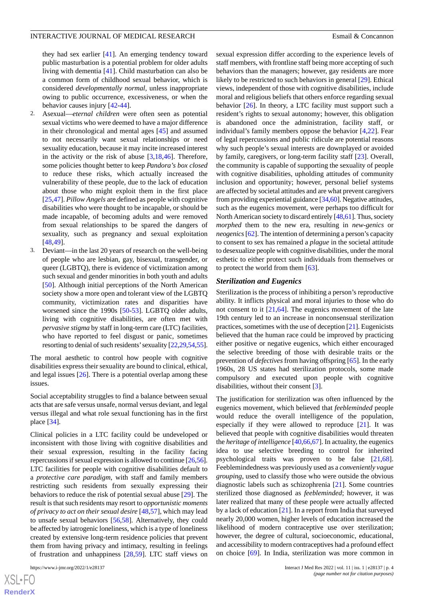they had sex earlier [[41\]](#page-18-17). An emerging tendency toward public masturbation is a potential problem for older adults living with dementia [\[41](#page-18-17)]. Child masturbation can also be a common form of childhood sexual behavior, which is considered *developmentally normal*, unless inappropriate owing to public occurrence, excessiveness, or when the behavior causes injury [\[42](#page-18-18)[-44](#page-18-19)].

- 2. Asexual—*eternal children* were often seen as potential sexual victims who were deemed to have a major difference in their chronological and mental ages [[45\]](#page-18-20) and assumed to not necessarily want sexual relationships or need sexuality education, because it may incite increased interest in the activity or the risk of abuse  $[3,18,46]$  $[3,18,46]$  $[3,18,46]$  $[3,18,46]$  $[3,18,46]$ . Therefore, some policies thought better to keep *Pandora's box closed* to reduce these risks, which actually increased the vulnerability of these people, due to the lack of education about those who might exploit them in the first place [[25](#page-18-1)[,47](#page-18-22)]. *Pillow Angels* are defined as people with cognitive disabilities who were thought to be incapable, or should be made incapable, of becoming adults and were removed from sexual relationships to be spared the dangers of sexuality, such as pregnancy and sexual exploitation [[48](#page-18-23)[,49](#page-18-24)].
- 3. Deviant—in the last 20 years of research on the well-being of people who are lesbian, gay, bisexual, transgender, or queer (LGBTQ), there is evidence of victimization among such sexual and gender minorities in both youth and adults [[50\]](#page-18-25). Although initial perceptions of the North American society show a more open and tolerant view of the LGBTQ community, victimization rates and disparities have worsened since the 1990s [[50-](#page-18-25)[53](#page-19-0)]. LGBTQ older adults, living with cognitive disabilities, are often met with *pervasive stigma* by staff in long-term care (LTC) facilities, who have reported to feel disgust or panic, sometimes resorting to denial of such residents' sexuality [[22,](#page-17-21)[29,](#page-18-5)[54](#page-19-1)[,55\]](#page-19-2).

The moral aesthetic to control how people with cognitive disabilities express their sexuality are bound to clinical, ethical, and legal issues [\[26](#page-18-2)]. There is a potential overlap among these issues.

Social acceptability struggles to find a balance between sexual acts that are safe versus unsafe, normal versus deviant, and legal versus illegal and what role sexual functioning has in the first place [\[34](#page-18-10)].

Clinical policies in a LTC facility could be undeveloped or inconsistent with those living with cognitive disabilities and their sexual expression, resulting in the facility facing repercussions if sexual expression is allowed to continue [\[26](#page-18-2)[,56\]](#page-19-3). LTC facilities for people with cognitive disabilities default to a *protective care paradigm*, with staff and family members restricting such residents from sexually expressing their behaviors to reduce the risk of potential sexual abuse [[29\]](#page-18-5). The result is that such residents may resort to *opportunistic moments of privacy to act on their sexual desire* [[48,](#page-18-23)[57](#page-19-4)], which may lead to unsafe sexual behaviors [[56,](#page-19-3)[58](#page-19-5)]. Alternatively, they could be affected by iatrogenic loneliness, which is a type of loneliness created by extensive long-term residence policies that prevent them from having privacy and intimacy, resulting in feelings of frustration and unhappiness [\[28](#page-18-4),[59\]](#page-19-6). LTC staff views on

sexual expression differ according to the experience levels of staff members, with frontline staff being more accepting of such behaviors than the managers; however, gay residents are more likely to be restricted to such behaviors in general [\[29](#page-18-5)]. Ethical views, independent of those with cognitive disabilities, include moral and religious beliefs that others enforce regarding sexual behavior [\[26](#page-18-2)]. In theory, a LTC facility must support such a resident's rights to sexual autonomy; however, this obligation is abandoned once the administration, facility staff, or individual's family members oppose the behavior [[4](#page-17-3)[,22](#page-17-21)]. Fear of legal repercussions and public ridicule are potential reasons why such people's sexual interests are downplayed or avoided by family, caregivers, or long-term facility staff [[23\]](#page-17-22). Overall, the community is capable of supporting the sexuality of people with cognitive disabilities, upholding attitudes of community inclusion and opportunity; however, personal belief systems are affected by societal attitudes and are what prevent caregivers from providing experiential guidance [[34,](#page-18-10)[60\]](#page-19-7). Negative attitudes, such as the eugenics movement, were perhaps too difficult for North American society to discard entirely [\[48](#page-18-23)[,61\]](#page-19-8). Thus, society *morphed* them to the new era, resulting in *new-genics* or *neogenics*[\[62\]](#page-19-9). The intention of determining a person's capacity to consent to sex has remained a *plague* in the societal attitude to desexualize people with cognitive disabilities, under the moral esthetic to either protect such individuals from themselves or to protect the world from them [\[63](#page-19-10)].

#### *Sterilization and Eugenics*

Sterilization is the process of inhibiting a person's reproductive ability. It inflicts physical and moral injuries to those who do not consent to it  $[21,64]$  $[21,64]$  $[21,64]$ . The eugenics movement of the late 19th century led to an increase in nonconsensual sterilization practices, sometimes with the use of deception [[21\]](#page-17-20). Eugenicists believed that the human race could be improved by practicing either positive or negative eugenics, which either encouraged the selective breeding of those with desirable traits or the prevention of *defectives* from having offspring [[65\]](#page-19-12). In the early 1960s, 28 US states had sterilization protocols, some made compulsory and executed upon people with cognitive disabilities, without their consent [\[3](#page-17-2)].

The justification for sterilization was often influenced by the eugenics movement, which believed that *feebleminded* people would reduce the overall intelligence of the population, especially if they were allowed to reproduce  $[21]$  $[21]$ . It was believed that people with cognitive disabilities would threaten the *heritage of intelligence* [[40](#page-18-16),[66](#page-19-13)[,67](#page-19-14)]. In actuality, the eugenics idea to use selective breeding to control for inherited psychological traits was proven to be false [\[21](#page-17-20),[68\]](#page-19-15). Feeblemindedness was previously used as a *conveniently vague grouping*, used to classify those who were outside the obvious diagnostic labels such as schizophrenia [[21\]](#page-17-20). Some countries sterilized those diagnosed as *feebleminded*; however, it was later realized that many of these people were actually affected by a lack of education [\[21](#page-17-20)]. In a report from India that surveyed nearly 20,000 women, higher levels of education increased the likelihood of modern contraceptive use over sterilization; however, the degree of cultural, socioeconomic, educational, and accessibility to modern contraceptives had a profound effect on choice [\[69](#page-19-16)]. In India, sterilization was more common in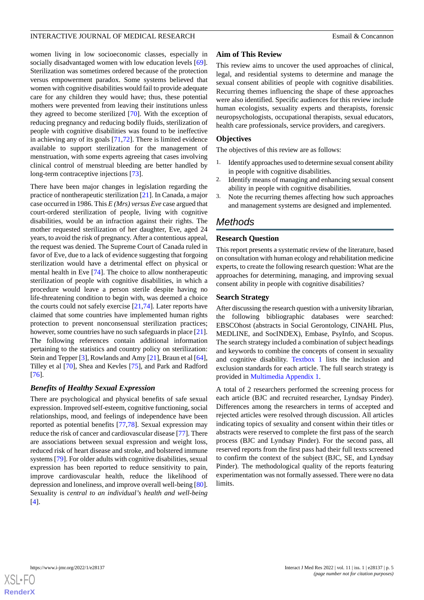women living in low socioeconomic classes, especially in socially disadvantaged women with low education levels [[69\]](#page-19-16). Sterilization was sometimes ordered because of the protection versus empowerment paradox. Some systems believed that women with cognitive disabilities would fail to provide adequate care for any children they would have; thus, these potential mothers were prevented from leaving their institutions unless they agreed to become sterilized [[70\]](#page-19-17). With the exception of reducing pregnancy and reducing bodily fluids, sterilization of people with cognitive disabilities was found to be ineffective in achieving any of its goals [[71](#page-19-18)[,72](#page-19-19)]. There is limited evidence available to support sterilization for the management of menstruation, with some experts agreeing that cases involving clinical control of menstrual bleeding are better handled by long-term contraceptive injections [\[73](#page-19-20)].

There have been major changes in legislation regarding the practice of nontherapeutic sterilization [[21\]](#page-17-20). In Canada, a major case occurred in 1986. This *E (Mrs) versus Eve* case argued that court-ordered sterilization of people, living with cognitive disabilities, would be an infraction against their rights. The mother requested sterilization of her daughter, Eve, aged 24 years, to avoid the risk of pregnancy. After a contentious appeal, the request was denied. The Supreme Court of Canada ruled in favor of Eve, due to a lack of evidence suggesting that forgoing sterilization would have a detrimental effect on physical or mental health in Eve [[74\]](#page-19-21). The choice to allow nontherapeutic sterilization of people with cognitive disabilities, in which a procedure would leave a person sterile despite having no life-threatening condition to begin with, was deemed a choice the courts could not safely exercise [[21,](#page-17-20)[74](#page-19-21)]. Later reports have claimed that some countries have implemented human rights protection to prevent nonconsensual sterilization practices; however, some countries have no such safeguards in place [[21\]](#page-17-20). The following references contain additional information pertaining to the statistics and country policy on sterilization: Stein and Tepper [\[3](#page-17-2)], Rowlands and Amy [\[21](#page-17-20)], Braun et al [[64\]](#page-19-11), Tilley et al [\[70](#page-19-17)], Shea and Kevles [\[75](#page-19-22)], and Park and Radford [[76\]](#page-19-23).

## *Benefits of Healthy Sexual Expression*

There are psychological and physical benefits of safe sexual expression. Improved self-esteem, cognitive functioning, social relationships, mood, and feelings of independence have been reported as potential benefits [[77](#page-19-24)[,78](#page-19-25)]. Sexual expression may reduce the risk of cancer and cardiovascular disease [[77\]](#page-19-24). There are associations between sexual expression and weight loss, reduced risk of heart disease and stroke, and bolstered immune systems [\[79](#page-20-0)]. For older adults with cognitive disabilities, sexual expression has been reported to reduce sensitivity to pain, improve cardiovascular health, reduce the likelihood of depression and loneliness, and improve overall well-being [[80\]](#page-20-1). Sexuality is *central to an individual's health and well-being* [[4\]](#page-17-3).

## **Aim of This Review**

This review aims to uncover the used approaches of clinical, legal, and residential systems to determine and manage the sexual consent abilities of people with cognitive disabilities. Recurring themes influencing the shape of these approaches were also identified. Specific audiences for this review include human ecologists, sexuality experts and therapists, forensic neuropsychologists, occupational therapists, sexual educators, health care professionals, service providers, and caregivers.

## **Objectives**

The objectives of this review are as follows:

- 1. Identify approaches used to determine sexual consent ability in people with cognitive disabilities.
- 2. Identify means of managing and enhancing sexual consent ability in people with cognitive disabilities.
- 3. Note the recurring themes affecting how such approaches and management systems are designed and implemented.

## *Methods*

## **Research Question**

This report presents a systematic review of the literature, based on consultation with human ecology and rehabilitation medicine experts, to create the following research question: What are the approaches for determining, managing, and improving sexual consent ability in people with cognitive disabilities?

## **Search Strategy**

After discussing the research question with a university librarian, the following bibliographic databases were searched: EBSCOhost (abstracts in Social Gerontology, CINAHL Plus, MEDLINE, and SocINDEX), Embase, PsyInfo, and Scopus. The search strategy included a combination of subject headings and keywords to combine the concepts of consent in sexuality and cognitive disability. [Textbox 1](#page-5-0) lists the inclusion and exclusion standards for each article. The full search strategy is provided in [Multimedia Appendix 1.](#page-17-23)

A total of 2 researchers performed the screening process for each article (BJC and recruited researcher, Lyndsay Pinder). Differences among the researchers in terms of accepted and rejected articles were resolved through discussion. All articles indicating topics of sexuality and consent within their titles or abstracts were reserved to complete the first pass of the search process (BJC and Lyndsay Pinder). For the second pass, all reserved reports from the first pass had their full texts screened to confirm the context of the subject (BJC, SE, and Lyndsay Pinder). The methodological quality of the reports featuring experimentation was not formally assessed. There were no data limits.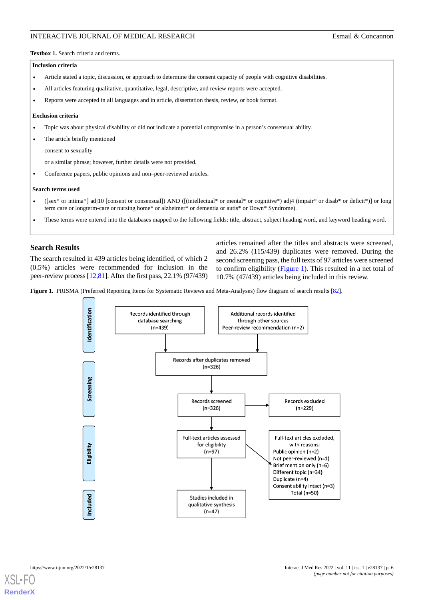<span id="page-5-0"></span>**Textbox 1.** Search criteria and terms.

#### **Inclusion criteria**

- Article stated a topic, discussion, or approach to determine the consent capacity of people with cognitive disabilities.
- All articles featuring qualitative, quantitative, legal, descriptive, and review reports were accepted.
- Reports were accepted in all languages and in article, dissertation thesis, review, or book format.

#### **Exclusion criteria**

- Topic was about physical disability or did not indicate a potential compromise in a person's consensual ability.
- The article briefly mentioned

consent to sexuality

or a similar phrase; however, further details were not provided.

• Conference papers, public opinions and non-peer-reviewed articles.

#### **Search terms used**

- ([sex\* or intima\*] adj10 [consent or consensual]) AND ([(intellectual\* or mental\* or cognitive\*) adj4 (impair\* or disab\* or deficit\*)] or long term care or longterm-care or nursing home\* or alzheimer\* or dementia or autis\* or Down\* Syndrome).
- These terms were entered into the databases mapped to the following fields: title, abstract, subject heading word, and keyword heading word.

### **Search Results**

<span id="page-5-1"></span>The search resulted in 439 articles being identified, of which 2 (0.5%) articles were recommended for inclusion in the peer-review process [\[12](#page-17-11),[81](#page-20-2)]. After the first pass, 22.1% (97/439)

articles remained after the titles and abstracts were screened, and 26.2% (115/439) duplicates were removed. During the second screening pass, the full texts of 97 articles were screened to confirm eligibility ([Figure 1](#page-5-1)). This resulted in a net total of 10.7% (47/439) articles being included in this review.

Figure 1. PRISMA (Preferred Reporting Items for Systematic Reviews and Meta-Analyses) flow diagram of search results [[82](#page-20-3)].





**[RenderX](http://www.renderx.com/)**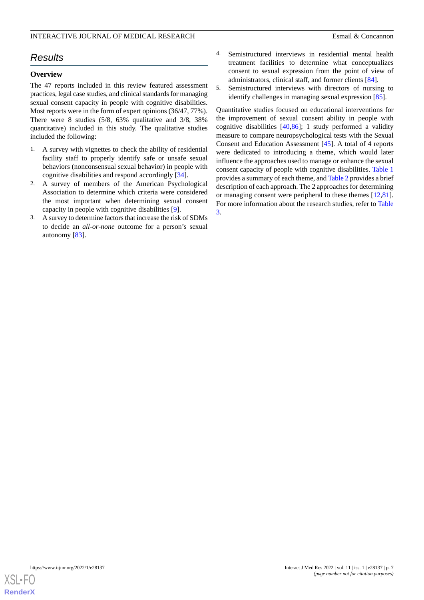## *Results*

## **Overview**

The 47 reports included in this review featured assessment practices, legal case studies, and clinical standards for managing sexual consent capacity in people with cognitive disabilities. Most reports were in the form of expert opinions (36/47, 77%). There were 8 studies (5/8, 63% qualitative and 3/8, 38% quantitative) included in this study. The qualitative studies included the following:

- 1. A survey with vignettes to check the ability of residential facility staff to properly identify safe or unsafe sexual behaviors (nonconsensual sexual behavior) in people with cognitive disabilities and respond accordingly [[34\]](#page-18-10).
- 2. A survey of members of the American Psychological Association to determine which criteria were considered the most important when determining sexual consent capacity in people with cognitive disabilities [[9\]](#page-17-8).
- 3. A survey to determine factors that increase the risk of SDMs to decide an *all-or-none* outcome for a person's sexual autonomy [\[83](#page-20-4)].
- 4. Semistructured interviews in residential mental health treatment facilities to determine what conceptualizes consent to sexual expression from the point of view of administrators, clinical staff, and former clients [[84\]](#page-20-5).
- 5. Semistructured interviews with directors of nursing to identify challenges in managing sexual expression [[85\]](#page-20-6).

Quantitative studies focused on educational interventions for the improvement of sexual consent ability in people with cognitive disabilities [[40](#page-18-16)[,86](#page-20-7)]; 1 study performed a validity measure to compare neuropsychological tests with the Sexual Consent and Education Assessment [[45\]](#page-18-20). A total of 4 reports were dedicated to introducing a theme, which would later influence the approaches used to manage or enhance the sexual consent capacity of people with cognitive disabilities. [Table 1](#page-7-0) provides a summary of each theme, and [Table 2](#page-8-0) provides a brief description of each approach. The 2 approaches for determining or managing consent were peripheral to these themes [\[12](#page-17-11),[81\]](#page-20-2). For more information about the research studies, refer to [Table](#page-10-0) [3.](#page-10-0)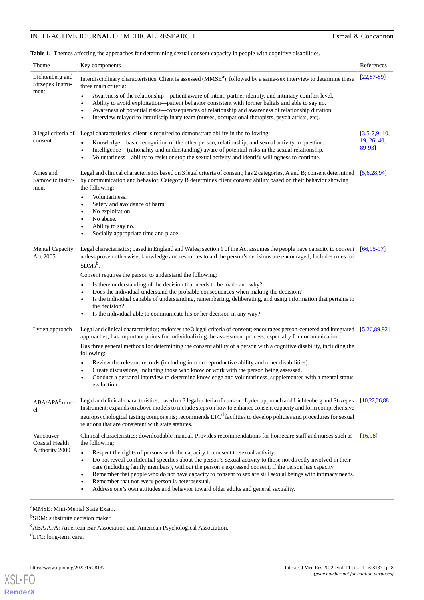## **INTERACTIVE JOURNAL OF MEDICAL RESEARCH Esmail & Concannon**

<span id="page-7-0"></span>**Table 1.** Themes affecting the approaches for determining sexual consent capacity in people with cognitive disabilities.

| Theme                                       | Key components                                                                                                                                                                                                                                                                                                                           | References            |  |
|---------------------------------------------|------------------------------------------------------------------------------------------------------------------------------------------------------------------------------------------------------------------------------------------------------------------------------------------------------------------------------------------|-----------------------|--|
| Lichtenberg and<br>Strzepek Instru-<br>ment | Interdisciplinary characteristics. Client is assessed (MMSE <sup>a</sup> ), followed by a same-sex interview to determine these<br>three main criteria:                                                                                                                                                                                  | $[22, 87 - 89]$       |  |
|                                             | Awareness of the relationship—patient aware of intent, partner identity, and intimacy comfort level.<br>$\bullet$                                                                                                                                                                                                                        |                       |  |
|                                             | Ability to avoid exploitation—patient behavior consistent with former beliefs and able to say no.<br>$\bullet$<br>Awareness of potential risks—consequences of relationship and awareness of relationship duration.<br>$\bullet$                                                                                                         |                       |  |
|                                             | Interview relayed to interdisciplinary team (nurses, occupational therapists, psychiatrists, etc).<br>$\bullet$                                                                                                                                                                                                                          |                       |  |
| consent                                     | 3 legal criteria of Legal characteristics; client is required to demonstrate ability in the following:<br>[3,5,7,9,10]                                                                                                                                                                                                                   |                       |  |
|                                             | Knowledge—basic recognition of the other person, relationship, and sexual activity in question.<br>$\bullet$<br>Intelligence—(rationality and understanding) aware of potential risks in the sexual relationship.<br>$\bullet$<br>Voluntariness—ability to resist or stop the sexual activity and identify willingness to continue.<br>٠ | 19, 26, 40,<br>89-931 |  |
| Ames and<br>Samowitz instru-<br>ment        | Legal and clinical characteristics based on 3 legal criteria of consent; has 2 categories, A and B; consent determined<br>by communication and behavior. Category B determines client consent ability based on their behavior showing<br>the following:                                                                                  | [5,6,28,94]           |  |
|                                             | Voluntariness.<br>$\bullet$<br>Safety and avoidance of harm.<br>٠                                                                                                                                                                                                                                                                        |                       |  |
|                                             | No exploitation.<br>٠                                                                                                                                                                                                                                                                                                                    |                       |  |
|                                             | No abuse.<br>٠<br>Ability to say no.                                                                                                                                                                                                                                                                                                     |                       |  |
|                                             | Socially appropriate time and place.<br>$\bullet$                                                                                                                                                                                                                                                                                        |                       |  |
| <b>Mental Capacity</b><br>Act 2005          | Legal characteristics; based in England and Wales; section 1 of the Act assumes the people have capacity to consent [66,95-97]<br>unless proven otherwise; knowledge and resources to aid the person's decisions are encouraged; Includes rules for<br>$SDMs^b$ .                                                                        |                       |  |
|                                             | Consent requires the person to understand the following:                                                                                                                                                                                                                                                                                 |                       |  |
|                                             | Is there understanding of the decision that needs to be made and why?<br>$\bullet$<br>Does the individual understand the probable consequences when making the decision?<br>٠                                                                                                                                                            |                       |  |
|                                             | Is the individual capable of understanding, remembering, deliberating, and using information that pertains to<br>٠<br>the decision?<br>Is the individual able to communicate his or her decision in any way?<br>$\bullet$                                                                                                                |                       |  |
| Lyden approach                              | Legal and clinical characteristics; endorses the 3 legal criteria of consent; encourages person-centered and integrated [5,26,89,92]<br>approaches; has important points for individualizing the assessment process, especially for communication.                                                                                       |                       |  |
|                                             | Has three general methods for determining the consent ability of a person with a cognitive disability, including the<br>following:                                                                                                                                                                                                       |                       |  |
|                                             | Review the relevant records (including info on reproductive ability and other disabilities).<br>Create discussions, including those who know or work with the person being assessed.<br>$\bullet$                                                                                                                                        |                       |  |
|                                             | Conduct a personal interview to determine knowledge and voluntariness, supplemented with a mental status<br>evaluation.                                                                                                                                                                                                                  |                       |  |
| $ABA/APAc$ mod-<br>el                       | Legal and clinical characteristics; based on 3 legal criteria of consent, Lyden approach and Lichtenberg and Strzepek<br>Instrument; expands on above models to include steps on how to enhance consent capacity and form comprehensive                                                                                                  | [10.22.26.88]         |  |
|                                             | neuropsychological testing components; recommends LTC <sup>d</sup> facilities to develop policies and procedures for sexual<br>relations that are consistent with state statutes.                                                                                                                                                        |                       |  |
| Vancouver<br>Coastal Health                 | Clinical characteristics; downloadable manual. Provides recommendations for homecare staff and nurses such as<br>the following:                                                                                                                                                                                                          | [16.98]               |  |
| Authority 2009                              | Respect the rights of persons with the capacity to consent to sexual activity.<br>$\bullet$<br>Do not reveal confidential specifics about the person's sexual activity to those not directly involved in their<br>$\bullet$                                                                                                              |                       |  |
|                                             | care (including family members), without the person's expressed consent, if the person has capacity.<br>Remember that people who do not have capacity to consent to sex are still sexual beings with intimacy needs.<br>٠                                                                                                                |                       |  |
|                                             | Remember that not every person is heterosexual.<br>Address one's own attitudes and behavior toward older adults and general sexuality.                                                                                                                                                                                                   |                       |  |

<sup>a</sup>MMSE: Mini-Mental State Exam.

<sup>b</sup>SDM: substitute decision maker.

 $c$ ABA/APA: American Bar Association and American Psychological Association.

<sup>d</sup>LTC: long-term care.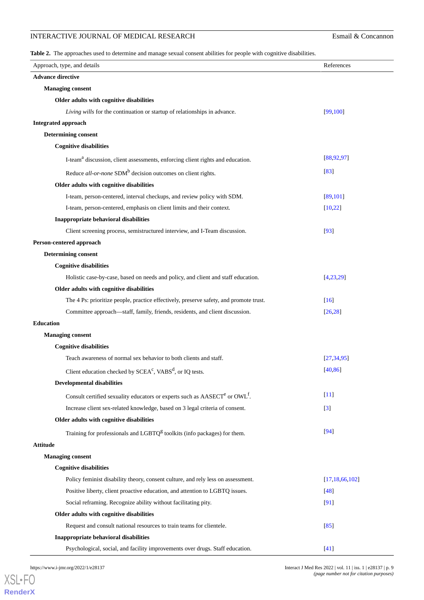## **INTERACTIVE JOURNAL OF MEDICAL RESEARCH Esmail & Concannon**

<span id="page-8-0"></span>**Table 2.** The approaches used to determine and manage sexual consent abilities for people with cognitive disabilities.

| Approach, type, and details                                                                        | References          |  |  |  |  |
|----------------------------------------------------------------------------------------------------|---------------------|--|--|--|--|
| <b>Advance directive</b>                                                                           |                     |  |  |  |  |
| <b>Managing consent</b>                                                                            |                     |  |  |  |  |
| Older adults with cognitive disabilities                                                           |                     |  |  |  |  |
| Living wills for the continuation or startup of relationships in advance.                          | [99, 100]           |  |  |  |  |
| <b>Integrated approach</b>                                                                         |                     |  |  |  |  |
| <b>Determining consent</b>                                                                         |                     |  |  |  |  |
| <b>Cognitive disabilities</b>                                                                      |                     |  |  |  |  |
| I-team <sup>a</sup> discussion, client assessments, enforcing client rights and education.         | [88, 92, 97]        |  |  |  |  |
| Reduce all-or-none SDM <sup>b</sup> decision outcomes on client rights.                            | $[83]$              |  |  |  |  |
| Older adults with cognitive disabilities                                                           |                     |  |  |  |  |
| I-team, person-centered, interval checkups, and review policy with SDM.                            | [89, 101]           |  |  |  |  |
| I-team, person-centered, emphasis on client limits and their context.                              | [10, 22]            |  |  |  |  |
| Inappropriate behavioral disabilities                                                              |                     |  |  |  |  |
| Client screening process, semistructured interview, and I-Team discussion.                         | $[93]$              |  |  |  |  |
| Person-centered approach                                                                           |                     |  |  |  |  |
| <b>Determining consent</b>                                                                         |                     |  |  |  |  |
| <b>Cognitive disabilities</b>                                                                      |                     |  |  |  |  |
| Holistic case-by-case, based on needs and policy, and client and staff education.                  | [4,23,29]           |  |  |  |  |
| Older adults with cognitive disabilities                                                           |                     |  |  |  |  |
| The 4 Ps: prioritize people, practice effectively, preserve safety, and promote trust.             | $\lceil 16 \rceil$  |  |  |  |  |
| Committee approach—staff, family, friends, residents, and client discussion.                       | [26, 28]            |  |  |  |  |
| <b>Education</b>                                                                                   |                     |  |  |  |  |
| <b>Managing consent</b>                                                                            |                     |  |  |  |  |
| <b>Cognitive disabilities</b>                                                                      |                     |  |  |  |  |
| Teach awareness of normal sex behavior to both clients and staff.                                  | [27, 34, 95]        |  |  |  |  |
| Client education checked by SCEA <sup>c</sup> , VABS <sup>d</sup> , or IQ tests.                   | [40, 86]            |  |  |  |  |
| <b>Developmental disabilities</b>                                                                  |                     |  |  |  |  |
| Consult certified sexuality educators or experts such as AASECT <sup>e</sup> or OWL <sup>f</sup> . | $[11]$              |  |  |  |  |
| Increase client sex-related knowledge, based on 3 legal criteria of consent.                       | $\lbrack 3 \rbrack$ |  |  |  |  |
| Older adults with cognitive disabilities                                                           |                     |  |  |  |  |
| Training for professionals and LGBTQ <sup>g</sup> toolkits (info packages) for them.               | $[94]$              |  |  |  |  |
| <b>Attitude</b>                                                                                    |                     |  |  |  |  |
| <b>Managing consent</b>                                                                            |                     |  |  |  |  |
| <b>Cognitive disabilities</b>                                                                      |                     |  |  |  |  |
| Policy feminist disability theory, consent culture, and rely less on assessment.                   | [17, 18, 66, 102]   |  |  |  |  |
| Positive liberty, client proactive education, and attention to LGBTQ issues.                       | $[48]$              |  |  |  |  |
| Social reframing. Recognize ability without facilitating pity.                                     | [91]                |  |  |  |  |
| Older adults with cognitive disabilities                                                           |                     |  |  |  |  |
| Request and consult national resources to train teams for clientele.                               | $[85]$              |  |  |  |  |
| Inappropriate behavioral disabilities                                                              |                     |  |  |  |  |
| Psychological, social, and facility improvements over drugs. Staff education.                      | $[41]$              |  |  |  |  |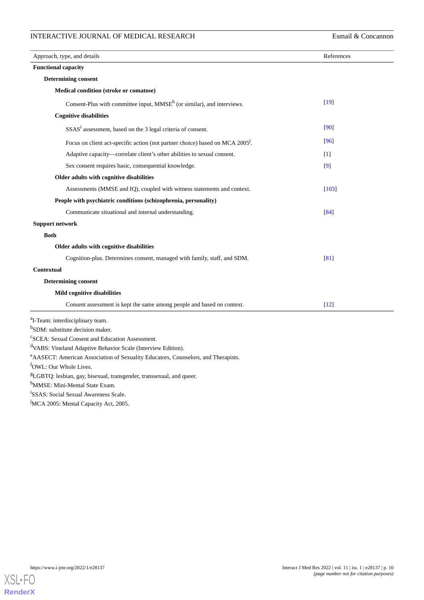## INTERACTIVE JOURNAL OF MEDICAL RESEARCH Esmail & Concannon

| Approach, type, and details                                                               | References |  |  |  |  |
|-------------------------------------------------------------------------------------------|------------|--|--|--|--|
| <b>Functional capacity</b>                                                                |            |  |  |  |  |
| <b>Determining consent</b>                                                                |            |  |  |  |  |
| <b>Medical condition (stroke or comatose)</b>                                             |            |  |  |  |  |
| Consent-Plus with committee input, $MMSEh$ (or similar), and interviews.                  | $[19]$     |  |  |  |  |
| <b>Cognitive disabilities</b>                                                             |            |  |  |  |  |
| SSAS <sup>i</sup> assessment, based on the 3 legal criteria of consent.                   | [90]       |  |  |  |  |
| Focus on client act-specific action (not partner choice) based on MCA 2005 <sup>J</sup> . | [96]       |  |  |  |  |
| Adaptive capacity—correlate client's other abilities to sexual consent.                   | $[1]$      |  |  |  |  |
| Sex consent requires basic, consequential knowledge.                                      | [9]        |  |  |  |  |
| Older adults with cognitive disabilities                                                  |            |  |  |  |  |
| Assessments (MMSE and IQ), coupled with witness statements and context.                   | [103]      |  |  |  |  |
| People with psychiatric conditions (schizophrenia, personality)                           |            |  |  |  |  |
| Communicate situational and internal understanding.                                       | [84]       |  |  |  |  |
| <b>Support network</b>                                                                    |            |  |  |  |  |
| <b>Both</b>                                                                               |            |  |  |  |  |
| Older adults with cognitive disabilities                                                  |            |  |  |  |  |
| Cognition-plus. Determines consent, managed with family, staff, and SDM.                  | [81]       |  |  |  |  |
| <b>Contextual</b>                                                                         |            |  |  |  |  |
| <b>Determining consent</b>                                                                |            |  |  |  |  |
| Mild cognitive disabilities                                                               |            |  |  |  |  |
| Consent assessment is kept the same among people and based on context.                    | $[12]$     |  |  |  |  |
| <sup>a</sup> I-Team: interdisciplinary team.                                              |            |  |  |  |  |
| <sup>b</sup> SDM: substitute decision maker.                                              |            |  |  |  |  |
| <sup>c</sup> SCEA: Sexual Consent and Education Assessment.                               |            |  |  |  |  |
| <sup>d</sup> VABS: Vineland Adaptive Behavior Scale (Interview Edition).                  |            |  |  |  |  |
| e AASECT: American Association of Sexuality Educators, Counselors, and Therapists.        |            |  |  |  |  |
| <sup>t</sup> OWL: Our Whole Lives.                                                        |            |  |  |  |  |
| <sup>g</sup> LGBTQ: lesbian, gay, bisexual, transgender, transsexual, and queer.          |            |  |  |  |  |
| <sup>n</sup> MMSE: Mini-Mental State Exam.<br>SSAS: Social Sexual Awareness Scale.        |            |  |  |  |  |
| <sup>J</sup> MCA 2005: Mental Capacity Act, 2005.                                         |            |  |  |  |  |
|                                                                                           |            |  |  |  |  |

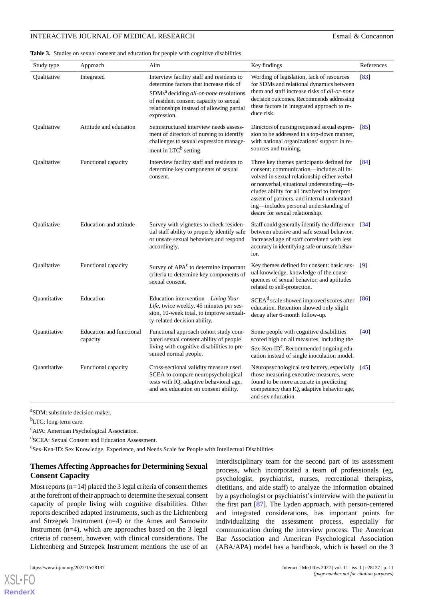<span id="page-10-0"></span>**Table 3.** Studies on sexual consent and education for people with cognitive disabilities.

| Study type   | Approach                             | Aim                                                                                                                                                                                                                                              | Key findings                                                                                                                                                                                                                                                                                                                                                    | References         |
|--------------|--------------------------------------|--------------------------------------------------------------------------------------------------------------------------------------------------------------------------------------------------------------------------------------------------|-----------------------------------------------------------------------------------------------------------------------------------------------------------------------------------------------------------------------------------------------------------------------------------------------------------------------------------------------------------------|--------------------|
| Qualitative  | Integrated                           | Interview facility staff and residents to<br>determine factors that increase risk of<br>SDMs <sup>a</sup> deciding all-or-none resolutions<br>of resident consent capacity to sexual<br>relationships instead of allowing partial<br>expression. | Wording of legislation, lack of resources<br>for SDMs and relational dynamics between<br>them and staff increase risks of all-or-none<br>decision outcomes. Recommends addressing<br>these factors in integrated approach to re-<br>duce risk.                                                                                                                  | [83]               |
| Qualitative  | Attitude and education               | Semistructured interview needs assess-<br>ment of directors of nursing to identify<br>challenges to sexual expression manage-<br>ment in LTC <sup>b</sup> setting.                                                                               | Directors of nursing requested sexual expres-<br>sion to be addressed in a top-down manner,<br>with national organizations' support in re-<br>sources and training.                                                                                                                                                                                             | [85]               |
| Qualitative  | Functional capacity                  | Interview facility staff and residents to<br>determine key components of sexual<br>consent.                                                                                                                                                      | Three key themes participants defined for<br>consent: communication—includes all in-<br>volved in sexual relationship either verbal<br>or nonverbal, situational understanding—in-<br>cludes ability for all involved to interpret<br>assent of partners, and internal understand-<br>ing-includes personal understanding of<br>desire for sexual relationship. | $\sqrt{84}$        |
| Qualitative  | Education and attitude               | Survey with vignettes to check residen-<br>tial staff ability to properly identify safe<br>or unsafe sexual behaviors and respond<br>accordingly.                                                                                                | Staff could generally identify the difference<br>between abusive and safe sexual behavior.<br>Increased age of staff correlated with less<br>accuracy in identifying safe or unsafe behav-<br>ior.                                                                                                                                                              | $\left[34\right]$  |
| Qualitative  | Functional capacity                  | Survey of APA <sup>c</sup> to determine important<br>criteria to determine key components of<br>sexual consent.                                                                                                                                  | Key themes defined for consent: basic sex-<br>ual knowledge, knowledge of the conse-<br>quences of sexual behavior, and aptitudes<br>related to self-protection.                                                                                                                                                                                                | [9]                |
| Quantitative | Education                            | Education intervention—Living Your<br>Life, twice weekly, 45 minutes per ses-<br>sion, 10-week total, to improve sexuali-<br>ty-related decision ability.                                                                                        | SCEA <sup>d</sup> scale showed improved scores after<br>education. Retention showed only slight<br>decay after 6-month follow-up.                                                                                                                                                                                                                               | [86]               |
| Quantitative | Education and functional<br>capacity | Functional approach cohort study com-<br>pared sexual consent ability of people<br>living with cognitive disabilities to pre-<br>sumed normal people.                                                                                            | Some people with cognitive disabilities<br>scored high on all measures, including the<br>Sex-Ken-ID <sup>e</sup> . Recommended ongoing edu-<br>cation instead of single inoculation model.                                                                                                                                                                      | [40]               |
| Quantitative | Functional capacity                  | Cross-sectional validity measure used<br>SCEA to compare neuropsychological<br>tests with IQ, adaptive behavioral age,<br>and sex education on consent ability.                                                                                  | Neuropsychological test battery, especially<br>those measuring executive measures, were<br>found to be more accurate in predicting<br>competency than IQ, adaptive behavior age,<br>and sex education.                                                                                                                                                          | $\lceil 45 \rceil$ |

a SDM: substitute decision maker.

<sup>b</sup>LTC: long-term care.

<sup>c</sup>APA: American Psychological Association.

d SCEA: Sexual Consent and Education Assessment.

eSex-Ken-ID: Sex Knowledge, Experience, and Needs Scale for People with Intellectual Disabilities.

## **Themes Affecting Approaches for Determining Sexual Consent Capacity**

Most reports (n=14) placed the 3 legal criteria of consent themes at the forefront of their approach to determine the sexual consent capacity of people living with cognitive disabilities. Other reports described adapted instruments, such as the Lichtenberg and Strzepek Instrument (n=4) or the Ames and Samowitz Instrument (n=4), which are approaches based on the 3 legal criteria of consent, however, with clinical considerations. The Lichtenberg and Strzepek Instrument mentions the use of an

[XSL](http://www.w3.org/Style/XSL)•FO **[RenderX](http://www.renderx.com/)**

interdisciplinary team for the second part of its assessment process, which incorporated a team of professionals (eg, psychologist, psychiatrist, nurses, recreational therapists, dietitians, and aide staff) to analyze the information obtained by a psychologist or psychiatrist's interview with the *patient* in the first part [[87\]](#page-20-8). The Lyden approach, with person-centered and integrated considerations, has important points for individualizing the assessment process, especially for communication during the interview process. The American Bar Association and American Psychological Association (ABA/APA) model has a handbook, which is based on the 3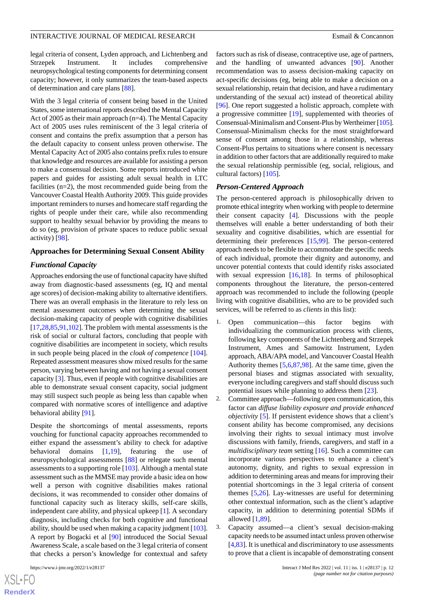legal criteria of consent, Lyden approach, and Lichtenberg and Strzepek Instrument. It includes comprehensive neuropsychological testing components for determining consent capacity; however, it only summarizes the team-based aspects of determination and care plans [\[88](#page-20-15)].

With the 3 legal criteria of consent being based in the United States, some international reports described the Mental Capacity Act of 2005 as their main approach (n=4). The Mental Capacity Act of 2005 uses rules reminiscent of the 3 legal criteria of consent and contains the prefix assumption that a person has the default capacity to consent unless proven otherwise. The Mental Capacity Act of 2005 also contains prefix rules to ensure that knowledge and resources are available for assisting a person to make a consensual decision. Some reports introduced white papers and guides for assisting adult sexual health in LTC facilities (n=2), the most recommended guide being from the Vancouver Coastal Health Authority 2009. This guide provides important reminders to nurses and homecare staff regarding the rights of people under their care, while also recommending support to healthy sexual behavior by providing the means to do so (eg, provision of private spaces to reduce public sexual activity) [\[98](#page-20-16)].

#### **Approaches for Determining Sexual Consent Ability**

#### *Functional Capacity*

Approaches endorsing the use of functional capacity have shifted away from diagnostic-based assessments (eg, IQ and mental age scores) of decision-making ability to alternative identifiers. There was an overall emphasis in the literature to rely less on mental assessment outcomes when determining the sexual decision-making capacity of people with cognitive disabilities [[17](#page-17-16)[,28](#page-18-4),[85](#page-20-6)[,91](#page-20-21),[102\]](#page-20-20). The problem with mental assessments is the risk of social or cultural factors, concluding that people with cognitive disabilities are incompetent in society, which results in such people being placed in the *cloak of competence* [[104\]](#page-20-25). Repeated assessment measures show mixed results for the same person, varying between having and not having a sexual consent capacity [\[3](#page-17-2)]. Thus, even if people with cognitive disabilities are able to demonstrate sexual consent capacity, social judgment may still suspect such people as being less than capable when compared with normative scores of intelligence and adaptive behavioral ability [\[91](#page-20-21)].

Despite the shortcomings of mental assessments, reports vouching for functional capacity approaches recommended to either expand the assessment's ability to check for adaptive behavioral domains [\[1](#page-17-0),[19\]](#page-17-18), featuring the use of neuropsychological assessments [\[88](#page-20-15)] or relegate such mental assessments to a supporting role [[103\]](#page-20-24). Although a mental state assessment such as the MMSE may provide a basic idea on how well a person with cognitive disabilities makes rational decisions, it was recommended to consider other domains of functional capacity such as literacy skills, self-care skills, independent care ability, and physical upkeep [[1\]](#page-17-0). A secondary diagnosis, including checks for both cognitive and functional ability, should be used when making a capacity judgment [\[103\]](#page-20-24). A report by Bogacki et al [[90\]](#page-20-22) introduced the Social Sexual Awareness Scale, a scale based on the 3 legal criteria of consent that checks a person's knowledge for contextual and safety

factors such as risk of disease, contraceptive use, age of partners, and the handling of unwanted advances [[90\]](#page-20-22). Another recommendation was to assess decision-making capacity on act-specific decisions (eg, being able to make a decision on a sexual relationship, retain that decision, and have a rudimentary understanding of the sexual act) instead of theoretical ability [[96\]](#page-20-23). One report suggested a holistic approach, complete with a progressive committee [[19\]](#page-17-18), supplemented with theories of Consensual-Minimalism and Consent-Plus by Wertheimer [\[105](#page-20-26)]. Consensual-Minimalism checks for the most straightforward sense of consent among those in a relationship, whereas Consent-Plus pertains to situations where consent is necessary in addition to other factors that are additionally required to make the sexual relationship permissible (eg, social, religious, and cultural factors) [[105\]](#page-20-26).

#### *Person-Centered Approach*

The person-centered approach is philosophically driven to promote ethical integrity when working with people to determine their consent capacity [[4\]](#page-17-3). Discussions with the people themselves will enable a better understanding of both their sexuality and cognitive disabilities, which are essential for determining their preferences [[15](#page-17-14)[,99](#page-20-17)]. The person-centered approach needs to be flexible to accommodate the specific needs of each individual, promote their dignity and autonomy, and uncover potential contexts that could identify risks associated with sexual expression [\[16](#page-17-15),[18\]](#page-17-17). In terms of philosophical components throughout the literature, the person-centered approach was recommended to include the following (people living with cognitive disabilities, who are to be provided such services, will be referred to as *clients* in this list):

- 1. Open communication—this factor begins with individualizing the communication process with clients, following key components of the Lichtenberg and Strzepek Instrument, Ames and Samowitz Instrument, Lyden approach, ABA/APA model, and Vancouver Coastal Health Authority themes [\[5,](#page-17-4)[6,](#page-17-5)[87,](#page-20-8)[98\]](#page-20-16). At the same time, given the personal biases and stigmas associated with sexuality, everyone including caregivers and staff should discuss such potential issues while planning to address them [\[23](#page-17-22)].
- 2. Committee approach—following open communication, this factor can *diffuse liability exposure and provide enhanced objectivity* [\[5\]](#page-17-4). If persistent evidence shows that a client's consent ability has become compromised, any decisions involving their rights to sexual intimacy must involve discussions with family, friends, caregivers, and staff in a *multidisciplinary team* setting [\[16](#page-17-15)]. Such a committee can incorporate various perspectives to enhance a client's autonomy, dignity, and rights to sexual expression in addition to determining areas and means for improving their potential shortcomings in the 3 legal criteria of consent themes [\[5](#page-17-4),[26\]](#page-18-2). Lay-witnesses are useful for determining other contextual information, such as the client's adaptive capacity, in addition to determining potential SDMs if allowed [[1](#page-17-0)[,89](#page-20-9)].
- 3. Capacity assumed—a client's sexual decision-making capacity needs to be assumed intact unless proven otherwise [[4](#page-17-3)[,83](#page-20-4)]. It is unethical and discriminatory to use assessments to prove that a client is incapable of demonstrating consent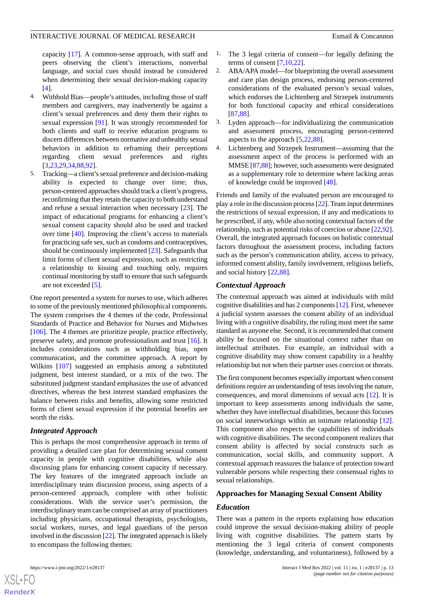capacity [[17\]](#page-17-16). A common-sense approach, with staff and peers observing the client's interactions, nonverbal language, and social cues should instead be considered when determining their sexual decision-making capacity [[4\]](#page-17-3).

- 4. Withhold Bias—people's attitudes, including those of staff members and caregivers, may inadvertently be against a client's sexual preferences and deny them their rights to sexual expression [\[91](#page-20-21)]. It was strongly recommended for both clients and staff to receive education programs to discern differences between normative and unhealthy sexual behaviors in addition to reframing their perceptions regarding client sexual preferences and rights [[3](#page-17-2)[,23](#page-17-22),[29](#page-18-5)[,34](#page-18-10),[88](#page-20-15)[,92](#page-20-14)].
- 5. Tracking—a client's sexual preference and decision-making ability is expected to change over time; thus, person-centered approaches should track a client's progress, reconfirming that they retain the capacity to both understand and refuse a sexual interaction when necessary [\[23](#page-17-22)]. The impact of educational programs for enhancing a client's sexual consent capacity should also be used and tracked over time [\[40](#page-18-16)]. Improving the client's access to materials for practicing safe sex, such as condoms and contraceptives, should be continuously implemented [[23\]](#page-17-22). Safeguards that limit forms of client sexual expression, such as restricting a relationship to kissing and touching only, requires continual monitoring by staff to ensure that such safeguards are not exceeded [\[5](#page-17-4)].

One report presented a system for nurses to use, which adheres to some of the previously mentioned philosophical components. The system comprises the 4 themes of the code, Professional Standards of Practice and Behavior for Nurses and Midwives [[106\]](#page-20-27). The 4 themes are prioritize people, practice effectively, preserve safety, and promote professionalism and trust [\[16](#page-17-15)]. It includes considerations such as withholding bias, open communication, and the committee approach. A report by Wilkins [\[107](#page-21-0)] suggested an emphasis among a substituted judgment, best interest standard, or a mix of the two. The substituted judgment standard emphasizes the use of advanced directives, whereas the best interest standard emphasizes the balance between risks and benefits, allowing some restricted forms of client sexual expression if the potential benefits are worth the risks.

## *Integrated Approach*

This is perhaps the most comprehensive approach in terms of providing a detailed care plan for determining sexual consent capacity in people with cognitive disabilities, while also discussing plans for enhancing consent capacity if necessary. The key features of the integrated approach include an interdisciplinary team discussion process, using aspects of a person-centered approach, complete with other holistic considerations. With the service user's permission, the interdisciplinary team can be comprised an array of practitioners including physicians, occupational therapists, psychologists, social workers, nurses, and legal guardians of the person involved in the discussion [[22](#page-17-21)]. The integrated approach is likely to encompass the following themes:

- The 3 legal criteria of consent—for legally defining the terms of consent  $[7,10,22]$  $[7,10,22]$  $[7,10,22]$  $[7,10,22]$  $[7,10,22]$ .
- 2. ABA/APA model—for blueprinting the overall assessment and care plan design process, endorsing person-centered considerations of the evaluated person's sexual values, which endorses the Lichtenberg and Strzepek instruments for both functional capacity and ethical considerations [[87](#page-20-8)[,88](#page-20-15)].
- 3. Lyden approach—for individualizing the communication and assessment process, encouraging person-centered aspects to the approach [[5](#page-17-4)[,22](#page-17-21),[88\]](#page-20-15).
- 4. Lichtenberg and Strzepek Instrument—assuming that the assessment aspect of the process is performed with an MMSE [[87](#page-20-8)[,88\]](#page-20-15); however, such assessments were designated as a supplementary role to determine where lacking areas of knowledge could be improved [\[48](#page-18-23)].

Friends and family of the evaluated person are encouraged to play a role in the discussion process [[22](#page-17-21)]. Team input determines the restrictions of sexual expression, if any and medications to be prescribed, if any, while also noting contextual factors of the relationship, such as potential risks of coercion or abuse [[22](#page-17-21)[,92](#page-20-14)]. Overall, the integrated approach focuses on holistic contextual factors throughout the assessment process, including factors such as the person's communication ability, access to privacy, informed consent ability, family involvement, religious beliefs, and social history [\[22](#page-17-21)[,88](#page-20-15)].

## *Contextual Approach*

The contextual approach was aimed at individuals with mild cognitive disabilities and has 2 components [[12](#page-17-11)]. First, whenever a judicial system assesses the consent ability of an individual living with a cognitive disability, the ruling must meet the same standard as anyone else. Second, it is recommended that consent ability be focused on the situational context rather than on intellectual attributes. For example, an individual with a cognitive disability may show consent capability in a healthy relationship but not when their partner uses coercion or threats.

The first component becomes especially important when consent definitions require an understanding of tests involving the nature, consequences, and moral dimensions of sexual acts [\[12](#page-17-11)]. It is important to keep assessments among individuals the same, whether they have intellectual disabilities, because this focuses on social innerworkings within an intimate relationship [[12\]](#page-17-11). This component also respects the capabilities of individuals with cognitive disabilities. The second component realizes that consent ability is affected by social constructs such as communication, social skills, and community support. A contextual approach reassures the balance of protection toward vulnerable persons while respecting their consensual rights to sexual relationships.

## **Approaches for Managing Sexual Consent Ability**

#### *Education*

There was a pattern in the reports explaining how education could improve the sexual decision-making ability of people living with cognitive disabilities. The pattern starts by mentioning the 3 legal criteria of consent components (knowledge, understanding, and voluntariness), followed by a



 $XS$ -FO **[RenderX](http://www.renderx.com/)**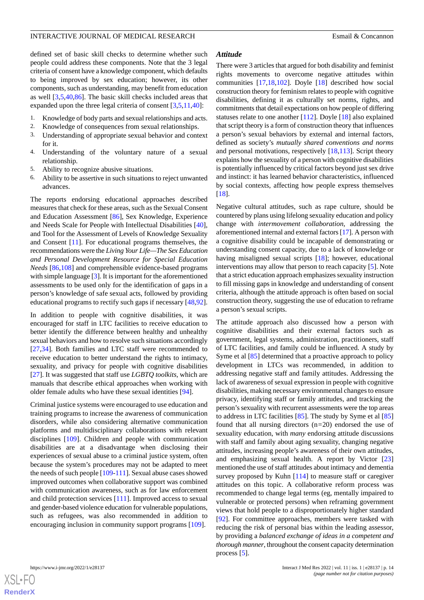defined set of basic skill checks to determine whether such people could address these components. Note that the 3 legal criteria of consent have a knowledge component, which defaults to being improved by sex education; however, its other components, such as understanding, may benefit from education as well [\[3](#page-17-2),[5](#page-17-4)[,40](#page-18-16),[86\]](#page-20-7). The basic skill checks included areas that expanded upon the three legal criteria of consent [[3,](#page-17-2)[5](#page-17-4),[11,](#page-17-10)[40](#page-18-16)]:

- 1. Knowledge of body parts and sexual relationships and acts.
- 2. Knowledge of consequences from sexual relationships.
- 3. Understanding of appropriate sexual behavior and context for it.
- 4. Understanding of the voluntary nature of a sexual relationship.
- 5. Ability to recognize abusive situations.
- 6. Ability to be assertive in such situations to reject unwanted advances.

The reports endorsing educational approaches described measures that check for these areas, such as the Sexual Consent and Education Assessment [[86\]](#page-20-7), Sex Knowledge, Experience and Needs Scale for People with Intellectual Disabilities [[40\]](#page-18-16), and Tool for the Assessment of Levels of Knowledge Sexuality and Consent [\[11](#page-17-10)]. For educational programs themselves, the recommendations were the *Living Your Life—The Sex Education and Personal Development Resource for Special Education Needs* [\[86](#page-20-7),[108](#page-21-1)] and comprehensible evidence-based programs with simple language [[3\]](#page-17-2). It is important for the aforementioned assessments to be used only for the identification of gaps in a person's knowledge of safe sexual acts, followed by providing educational programs to rectify such gaps if necessary [\[48](#page-18-23),[92\]](#page-20-14).

In addition to people with cognitive disabilities, it was encouraged for staff in LTC facilities to receive education to better identify the difference between healthy and unhealthy sexual behaviors and how to resolve such situations accordingly [[27](#page-18-3)[,34](#page-18-10)]. Both families and LTC staff were recommended to receive education to better understand the rights to intimacy, sexuality, and privacy for people with cognitive disabilities [[27\]](#page-18-3). It was suggested that staff use *LGBTQ toolkits*, which are manuals that describe ethical approaches when working with older female adults who have these sexual identities [[94\]](#page-20-11).

Criminal justice systems were encouraged to use education and training programs to increase the awareness of communication disorders, while also considering alternative communication platforms and multidisciplinary collaborations with relevant disciplines [[109\]](#page-21-2). Children and people with communication disabilities are at a disadvantage when disclosing their experiences of sexual abuse to a criminal justice system, often because the system's procedures may not be adapted to meet the needs of such people [[109-](#page-21-2)[111](#page-21-3)]. Sexual abuse cases showed improved outcomes when collaborative support was combined with communication awareness, such as for law enforcement and child protection services [\[111](#page-21-3)]. Improved access to sexual and gender-based violence education for vulnerable populations, such as refugees, was also recommended in addition to encouraging inclusion in community support programs [\[109](#page-21-2)].

 $XS$  • FC **[RenderX](http://www.renderx.com/)**

#### *Attitude*

There were 3 articles that argued for both disability and feminist rights movements to overcome negative attitudes within communities [\[17](#page-17-16),[18](#page-17-17)[,102](#page-20-20)]. Doyle [\[18](#page-17-17)] described how social construction theory for feminism relates to people with cognitive disabilities, defining it as culturally set norms, rights, and commitments that detail expectations on how people of differing statuses relate to one another [[112\]](#page-21-4). Doyle [\[18](#page-17-17)] also explained that script theory is a form of construction theory that influences a person's sexual behaviors by external and internal factors, defined as society's *mutually shared conventions and norms* and personal motivations, respectively [\[18](#page-17-17),[113\]](#page-21-5). Script theory explains how the sexuality of a person with cognitive disabilities is potentially influenced by critical factors beyond just sex drive and instinct: it has learned behavior characteristics, influenced by social contexts, affecting how people express themselves [[18\]](#page-17-17).

Negative cultural attitudes, such as rape culture, should be countered by plans using lifelong sexuality education and policy change with *intermovement collaboration*, addressing the aforementioned internal and external factors [\[17](#page-17-16)]. A person with a cognitive disability could be incapable of demonstrating or understanding consent capacity, due to a lack of knowledge or having misaligned sexual scripts [\[18](#page-17-17)]; however, educational interventions may allow that person to reach capacity [\[5](#page-17-4)]. Note that a strict education approach emphasizes sexuality instruction to fill missing gaps in knowledge and understanding of consent criteria, although the attitude approach is often based on social construction theory, suggesting the use of education to reframe a person's sexual scripts.

The attitude approach also discussed how a person with cognitive disabilities and their external factors such as government, legal systems, administration, practitioners, staff of LTC facilities, and family could be influenced. A study by Syme et al  $[85]$  $[85]$  determined that a proactive approach to policy development in LTCs was recommended, in addition to addressing negative staff and family attitudes. Addressing the lack of awareness of sexual expression in people with cognitive disabilities, making necessary environmental changes to ensure privacy, identifying staff or family attitudes, and tracking the person's sexuality with recurrent assessments were the top areas to address in LTC facilities [[85\]](#page-20-6). The study by Syme et al [\[85](#page-20-6)] found that all nursing directors (n*=*20) endorsed the use of sexuality education, with *many* endorsing attitude discussions with staff and family about aging sexuality, changing negative attitudes, increasing people's awareness of their own attitudes, and emphasizing sexual health. A report by Victor [\[23](#page-17-22)] mentioned the use of staff attitudes about intimacy and dementia survey proposed by Kuhn [[114\]](#page-21-6) to measure staff or caregiver attitudes on this topic. A collaborative reform process was recommended to change legal terms (eg, mentally impaired to vulnerable or protected persons) when reframing government views that hold people to a disproportionately higher standard [[92\]](#page-20-14). For committee approaches, members were tasked with reducing the risk of personal bias within the leading assessor, by providing a *balanced exchange of ideas in a competent and thorough manner*, throughout the consent capacity determination process [[5](#page-17-4)].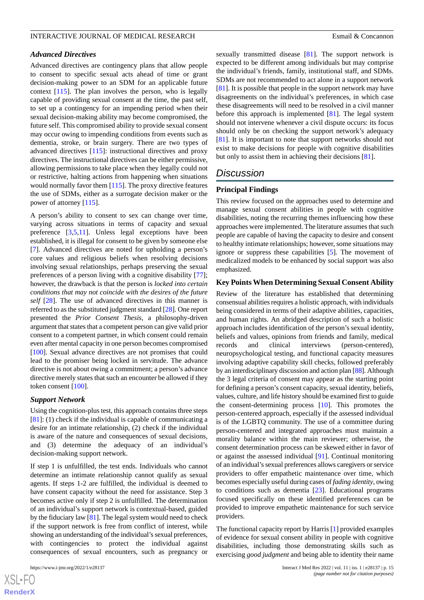#### *Advanced Directives*

Advanced directives are contingency plans that allow people to consent to specific sexual acts ahead of time or grant decision-making power to an SDM for an applicable future context [\[115](#page-21-7)]. The plan involves the person, who is legally capable of providing sexual consent at the time, the past self, to set up a contingency for an impending period when their sexual decision-making ability may become compromised, the future self. This compromised ability to provide sexual consent may occur owing to impending conditions from events such as dementia, stroke, or brain surgery. There are two types of advanced directives [\[115](#page-21-7)]: instructional directives and proxy directives. The instructional directives can be either permissive, allowing permissions to take place when they legally could not or restrictive, halting actions from happening when situations would normally favor them [[115\]](#page-21-7). The proxy directive features the use of SDMs, either as a surrogate decision maker or the power of attorney [\[115](#page-21-7)].

A person's ability to consent to sex can change over time, varying across situations in terms of capacity and sexual preference [[3](#page-17-2)[,5](#page-17-4),[11\]](#page-17-10). Unless legal exceptions have been established, it is illegal for consent to be given by someone else [[7\]](#page-17-6). Advanced directives are noted for upholding a person's core values and religious beliefs when resolving decisions involving sexual relationships, perhaps preserving the sexual preferences of a person living with a cognitive disability [[77\]](#page-19-24); however, the drawback is that the person is *locked into certain conditions that may not coincide with the desires of the future self* [\[28](#page-18-4)]. The use of advanced directives in this manner is referred to as the substituted judgment standard [\[28\]](#page-18-4). One report presented the *Prior Consent Thesis*, a philosophy-driven argument that states that a competent person can give valid prior consent to a competent partner, in which consent could remain even after mental capacity in one person becomes compromised [[100\]](#page-20-18). Sexual advance directives are not promises that could lead to the promiser being locked in servitude. The advance directive is not about owing a commitment; a person's advance directive merely states that such an encounter be allowed if they token consent [[100](#page-20-18)].

#### *Support Network*

Using the cognition-plus test, this approach contains three steps  $[81]$  $[81]$ : (1) check if the individual is capable of communicating a desire for an intimate relationship, (2) check if the individual is aware of the nature and consequences of sexual decisions, and (3) determine the adequacy of an individual's decision-making support network.

If step 1 is unfulfilled, the test ends. Individuals who cannot determine an intimate relationship cannot qualify as sexual agents. If steps 1-2 are fulfilled, the individual is deemed to have consent capacity without the need for assistance. Step 3 becomes active only if step 2 is unfulfilled. The determination of an individual's support network is contextual-based, guided by the fiduciary law [[81\]](#page-20-2). The legal system would need to check if the support network is free from conflict of interest, while showing an understanding of the individual's sexual preferences, with contingencies to protect the individual against consequences of sexual encounters, such as pregnancy or

sexually transmitted disease [\[81](#page-20-2)]. The support network is expected to be different among individuals but may comprise the individual's friends, family, institutional staff, and SDMs. SDMs are not recommended to act alone in a support network [[81\]](#page-20-2). It is possible that people in the support network may have disagreements on the individual's preferences, in which case these disagreements will need to be resolved in a civil manner before this approach is implemented [\[81](#page-20-2)]. The legal system should not intervene whenever a civil dispute occurs: its focus should only be on checking the support network's adequacy [[81\]](#page-20-2). It is important to note that support networks should not exist to make decisions for people with cognitive disabilities but only to assist them in achieving their decisions [\[81](#page-20-2)].

## *Discussion*

#### **Principal Findings**

This review focused on the approaches used to determine and manage sexual consent abilities in people with cognitive disabilities, noting the recurring themes influencing how these approaches were implemented. The literature assumes that such people are capable of having the capacity to desire and consent to healthy intimate relationships; however, some situations may ignore or suppress these capabilities [\[5](#page-17-4)]. The movement of medicalized models to be enhanced by social support was also emphasized.

#### **Key Points When Determining Sexual Consent Ability**

Review of the literature has established that determining consensual abilities requires a holistic approach, with individuals being considered in terms of their adaptive abilities, capacities, and human rights. An abridged description of such a holistic approach includes identification of the person's sexual identity, beliefs and values, opinions from friends and family, medical records and clinical interviews (person-centered), neuropsychological testing, and functional capacity measures involving adaptive capability skill checks, followed preferably by an interdisciplinary discussion and action plan [\[88](#page-20-15)]. Although the 3 legal criteria of consent may appear as the starting point for defining a person's consent capacity, sexual identity, beliefs, values, culture, and life history should be examined first to guide the consent-determining process [\[10](#page-17-9)]. This promotes the person-centered approach, especially if the assessed individual is of the LGBTQ community. The use of a committee during person-centered and integrated approaches must maintain a morality balance within the main reviewer; otherwise, the consent determination process can be skewed either in favor of or against the assessed individual [\[91](#page-20-21)]. Continual monitoring of an individual's sexual preferences allows caregivers or service providers to offer empathetic maintenance over time, which becomes especially useful during cases of *fading identity*, owing to conditions such as dementia [\[23](#page-17-22)]. Educational programs focused specifically on these identified preferences can be provided to improve empathetic maintenance for such service providers.

The functional capacity report by Harris [\[1](#page-17-0)] provided examples of evidence for sexual consent ability in people with cognitive disabilities, including those demonstrating skills such as exercising *good judgment* and being able to identity their name

 $XS$ -FO **[RenderX](http://www.renderx.com/)**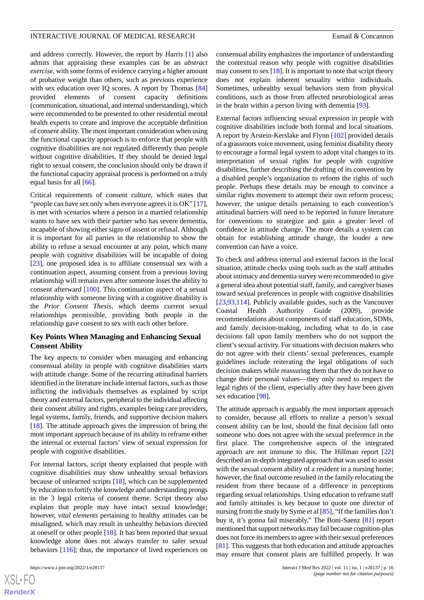and address correctly. However, the report by Harris [[1\]](#page-17-0) also admits that appraising these examples can be an *abstract exercise*, with some forms of evidence carrying a higher amount of probative weight than others, such as previous experience with sex education over IQ scores. A report by Thomas [\[84](#page-20-5)] provided elements of consent capacity definitions (communication, situational, and internal understanding), which

were recommended to be presented to other residential mental health experts to create and improve the acceptable definition of consent ability. The most important consideration when using the functional capacity approach is to enforce that people with cognitive disabilities are not regulated differently than people without cognitive disabilities. If they should be denied legal right to sexual consent, the conclusion should only be drawn if the functional capacity appraisal process is performed on a truly equal basis for all [\[66](#page-19-13)].

Critical requirements of consent culture, which states that "people can have sex only when everyone agrees it is OK" [[17\]](#page-17-16), is met with scenarios where a person in a married relationship wants to have sex with their partner who has severe dementia, incapable of showing either signs of assent or refusal. Although it is important for all parties in the relationship to show the ability to refuse a sexual encounter at any point, which many people with cognitive disabilities will be incapable of doing [[23\]](#page-17-22), one proposed idea is to affiliate consensual sex with a continuation aspect, assuming consent from a previous loving relationship will remain even after someone loses the ability to consent afterward [[100\]](#page-20-18). This continuation aspect of a sexual relationship with someone living with a cognitive disability is the *Prior Consent Thesis*, which deems current sexual relationships permissible, providing both people in the relationship gave consent to sex with each other before.

## **Key Points When Managing and Enhancing Sexual Consent Ability**

The key aspects to consider when managing and enhancing consensual ability in people with cognitive disabilities starts with attitude change. Some of the recurring attitudinal barriers identified in the literature include internal factors, such as those inflicting the individuals themselves as explained by script theory and external factors, peripheral to the individual affecting their consent ability and rights, examples being care providers, legal systems, family, friends, and supportive decision makers [[18\]](#page-17-17). The attitude approach gives the impression of being the most important approach because of its ability to reframe either the internal or external factors' view of sexual expression for people with cognitive disabilities.

For internal factors, script theory explained that people with cognitive disabilities may show unhealthy sexual behaviors because of unlearned scripts [[18\]](#page-17-17), which can be supplemented by education to fortify the knowledge and understanding prongs in the 3 legal criteria of consent theme. Script theory also explains that people may have intact sexual knowledge; however, *vital elements* pertaining to healthy attitudes can be misaligned, which may result in unhealthy behaviors directed at oneself or other people [\[18](#page-17-17)]. It has been reported that sexual knowledge alone does not always transfer to safer sexual behaviors [[116\]](#page-21-8); thus, the importance of lived experiences on

consensual ability emphasizes the importance of understanding the contextual reason why people with cognitive disabilities may consent to sex  $[18]$ . It is important to note that script theory does not explain inherent sexuality within individuals. Sometimes, unhealthy sexual behaviors stem from physical conditions, such as those from affected neurobiological areas in the brain within a person living with dementia [\[93](#page-20-10)].

External factors influencing sexual expression in people with cognitive disabilities include both formal and local situations. A report by Arstein-Kerslake and Flynn [\[102](#page-20-20)] provided details of a grassroots voice movement, using feminist disability theory to encourage a formal legal system to adopt vital changes to its interpretation of sexual rights for people with cognitive disabilities, further describing the drafting of its convention by a disabled people's organization to reform the rights of such people. Perhaps these details may be enough to convince a similar rights movement to attempt their own reform process; however, the unique details pertaining to each convention's attitudinal barriers will need to be reported in future literature for conventions to strategize and gain a greater level of confidence in attitude change. The more details a system can obtain for establishing attitude change, the louder a new convention can have a voice.

To check and address internal and external factors in the local situation, attitude checks using tools such as the staff attitudes about intimacy and dementia survey were recommended to give a general idea about potential staff, family, and caregiver biases toward sexual preferences in people with cognitive disabilities [[23,](#page-17-22)[93,](#page-20-10)[114\]](#page-21-6). Publicly available guides, such as the Vancouver Coastal Health Authority Guide (2009), provide recommendations about components of staff education, SDMs, and family decision-making, including what to do in case decisions fall upon family members who do not support the client's sexual activity. For situations with decision makers who do not agree with their clients' sexual preferences, example guidelines include reiterating the legal obligations of such decision makers while reassuring them that they do not have to change their personal values—they only need to respect the legal rights of the client, especially after they have been given sex education [\[98](#page-20-16)].

The attitude approach is arguably the most important approach to consider, because all efforts to realize a person's sexual consent ability can be lost, should the final decision fall onto someone who does not agree with the sexual preference in the first place. The comprehensive aspects of the integrated approach are not immune to this. The Hillman report [\[22](#page-17-21)] described an in-depth integrated approach that was used to assist with the sexual consent ability of a resident in a nursing home; however, the final outcome resulted in the family relocating the resident from there because of a difference in perceptions regarding sexual relationships. Using education to reframe staff and family attitudes is key because to quote one director of nursing from the study by Syme et al [[85\]](#page-20-6), "If the families don't buy it, it's gonna fail miserably." The Boni-Saenz [\[81](#page-20-2)] report mentioned that support networks may fail because cognition-plus does not force its members to agree with their sexual preferences [[81\]](#page-20-2). This suggests that both education and attitude approaches may ensure that consent plans are fulfilled properly. It was

 $XS$ -FO **[RenderX](http://www.renderx.com/)**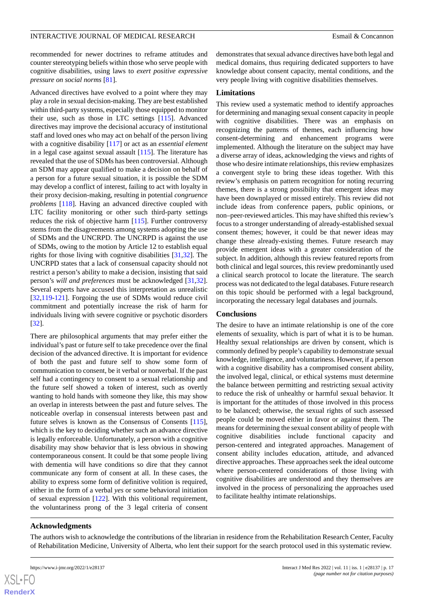recommended for newer doctrines to reframe attitudes and counter stereotyping beliefs within those who serve people with cognitive disabilities, using laws to *exert positive expressive pressure on social norms* [\[81](#page-20-2)].

Advanced directives have evolved to a point where they may play a role in sexual decision-making. They are best established within third-party systems, especially those equipped to monitor their use, such as those in LTC settings [\[115](#page-21-7)]. Advanced directives may improve the decisional accuracy of institutional staff and loved ones who may act on behalf of the person living with a cognitive disability [\[117](#page-21-9)] or act as an *essential element* in a legal case against sexual assault [[115\]](#page-21-7). The literature has revealed that the use of SDMs has been controversial. Although an SDM may appear qualified to make a decision on behalf of a person for a future sexual situation, it is possible the SDM may develop a conflict of interest, failing to act with loyalty in their proxy decision-making, resulting in potential *congruence problems* [[118\]](#page-21-10). Having an advanced directive coupled with LTC facility monitoring or other such third-party settings reduces the risk of objective harm [\[115](#page-21-7)]. Further controversy stems from the disagreements among systems adopting the use of SDMs and the UNCRPD. The UNCRPD is against the use of SDMs, owing to the motion by Article 12 to establish equal rights for those living with cognitive disabilities [[31,](#page-18-7)[32](#page-18-8)]. The UNCRPD states that a lack of consensual capacity should not restrict a person's ability to make a decision, insisting that said person's *will and preferences* must be acknowledged [\[31](#page-18-7),[32\]](#page-18-8). Several experts have accused this interpretation as unrealistic [[32](#page-18-8)[,119](#page-21-11)-[121\]](#page-21-12). Forgoing the use of SDMs would reduce civil commitment and potentially increase the risk of harm for individuals living with severe cognitive or psychotic disorders [[32\]](#page-18-8).

There are philosophical arguments that may prefer either the individual's past or future self to take precedence over the final decision of the advanced directive. It is important for evidence of both the past and future self to show some form of communication to consent, be it verbal or nonverbal. If the past self had a contingency to consent to a sexual relationship and the future self showed a token of interest, such as overtly wanting to hold hands with someone they like, this may show an overlap in interests between the past and future selves. The noticeable overlap in consensual interests between past and future selves is known as the Consensus of Consents [[115\]](#page-21-7), which is the key to deciding whether such an advance directive is legally enforceable. Unfortunately, a person with a cognitive disability may show behavior that is less obvious in showing contemporaneous consent. It could be that some people living with dementia will have conditions so dire that they cannot communicate any form of consent at all. In these cases, the ability to express some form of definitive volition is required, either in the form of a verbal *yes* or some behavioral initiation of sexual expression [\[122](#page-21-13)]. With this volitional requirement, the voluntariness prong of the 3 legal criteria of consent

demonstrates that sexual advance directives have both legal and medical domains, thus requiring dedicated supporters to have knowledge about consent capacity, mental conditions, and the very people living with cognitive disabilities themselves.

#### **Limitations**

This review used a systematic method to identify approaches for determining and managing sexual consent capacity in people with cognitive disabilities. There was an emphasis on recognizing the patterns of themes, each influencing how consent-determining and enhancement programs were implemented. Although the literature on the subject may have a diverse array of ideas, acknowledging the views and rights of those who desire intimate relationships, this review emphasizes a convergent style to bring these ideas together. With this review's emphasis on pattern recognition for noting recurring themes, there is a strong possibility that emergent ideas may have been downplayed or missed entirely. This review did not include ideas from conference papers, public opinions, or non–peer-reviewed articles. This may have shifted this review's focus to a stronger understanding of already-established sexual consent themes; however, it could be that newer ideas may change these already-existing themes. Future research may provide emergent ideas with a greater consideration of the subject. In addition, although this review featured reports from both clinical and legal sources, this review predominantly used a clinical search protocol to locate the literature. The search process was not dedicated to the legal databases. Future research on this topic should be performed with a legal background, incorporating the necessary legal databases and journals.

#### **Conclusions**

The desire to have an intimate relationship is one of the core elements of sexuality, which is part of what it is to be human. Healthy sexual relationships are driven by consent, which is commonly defined by people's capability to demonstrate sexual knowledge, intelligence, and voluntariness. However, if a person with a cognitive disability has a compromised consent ability, the involved legal, clinical, or ethical systems must determine the balance between permitting and restricting sexual activity to reduce the risk of unhealthy or harmful sexual behavior. It is important for the attitudes of those involved in this process to be balanced; otherwise, the sexual rights of such assessed people could be moved either in favor or against them. The means for determining the sexual consent ability of people with cognitive disabilities include functional capacity and person-centered and integrated approaches. Management of consent ability includes education, attitude, and advanced directive approaches. These approaches seek the ideal outcome where person-centered considerations of those living with cognitive disabilities are understood and they themselves are involved in the process of personalizing the approaches used to facilitate healthy intimate relationships.

#### **Acknowledgments**

The authors wish to acknowledge the contributions of the librarian in residence from the Rehabilitation Research Center, Faculty of Rehabilitation Medicine, University of Alberta, who lent their support for the search protocol used in this systematic review.

 $XS$  $\cdot$ FC **[RenderX](http://www.renderx.com/)**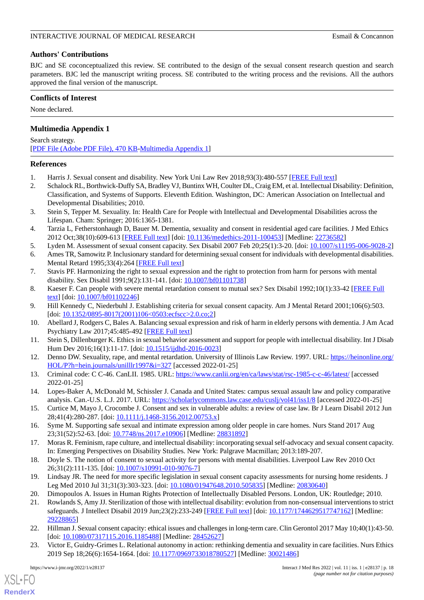## **Authors' Contributions**

BJC and SE coconceptualized this review. SE contributed to the design of the sexual consent research question and search parameters. BJC led the manuscript writing process. SE contributed to the writing process and the revisions. All the authors approved the final version of the manuscript.

## **Conflicts of Interest**

<span id="page-17-23"></span>None declared.

## **Multimedia Appendix 1**

Search strategy. [[PDF File \(Adobe PDF File\), 470 KB](https://jmir.org/api/download?alt_name=ijmr_v11i1e28137_app1.pdf&filename=c07d383434e78d54eba94e5b01805444.pdf)-[Multimedia Appendix 1\]](https://jmir.org/api/download?alt_name=ijmr_v11i1e28137_app1.pdf&filename=c07d383434e78d54eba94e5b01805444.pdf)

## <span id="page-17-1"></span><span id="page-17-0"></span>**References**

- 1. Harris J. Sexual consent and disability. New York Uni Law Rev 2018;93(3):480-557 [[FREE Full text\]](https://www.scopus.com/inward/record.uri?eid=2-s2.0-85052579858&partnerID=40&md5=389d8c211fd4963a45a040aa8bd877eb)
- <span id="page-17-2"></span>2. Schalock RL, Borthwick-Duffy SA, Bradley VJ, Buntinx WH, Coulter DL, Craig EM, et al. Intellectual Disability: Definition, Classification, and Systems of Supports. Eleventh Edition. Washington, DC: American Association on Intellectual and Developmental Disabilities; 2010.
- <span id="page-17-3"></span>3. Stein S, Tepper M. Sexuality. In: Health Care for People with Intellectual and Developmental Disabilities across the Lifespan. Cham: Springer; 2016:1365-1381.
- <span id="page-17-5"></span><span id="page-17-4"></span>4. Tarzia L, Fetherstonhaugh D, Bauer M. Dementia, sexuality and consent in residential aged care facilities. J Med Ethics 2012 Oct;38(10):609-613 [[FREE Full text](https://jme.bmj.com/content/38/10/609)] [doi: [10.1136/medethics-2011-100453\]](http://dx.doi.org/10.1136/medethics-2011-100453) [Medline: [22736582\]](http://www.ncbi.nlm.nih.gov/entrez/query.fcgi?cmd=Retrieve&db=PubMed&list_uids=22736582&dopt=Abstract)
- <span id="page-17-6"></span>5. Lyden M. Assessment of sexual consent capacity. Sex Disabil 2007 Feb 20;25(1):3-20. [doi: [10.1007/s11195-006-9028-2](http://dx.doi.org/10.1007/s11195-006-9028-2)]
- <span id="page-17-7"></span>6. Ames TR, Samowitz P. Inclusionary standard for determining sexual consent for individuals with developmental disabilities. Mental Retard 1995;33(4):264 [[FREE Full text\]](https://www.proquest.com/docview/1293691834?pq-origsite=gscholar&fromopenview=true&imgSeq=1)
- <span id="page-17-8"></span>7. Stavis PF. Harmonizing the right to sexual expression and the right to protection from harm for persons with mental disability. Sex Disabil 1991;9(2):131-141. [doi: [10.1007/bf01101738](http://dx.doi.org/10.1007/bf01101738)]
- <span id="page-17-9"></span>8. Kaeser F. Can people with severe mental retardation consent to mutual sex? Sex Disabil 1992;10(1):33-42 [[FREE Full](https://link.springer.com/article/10.1007/BF01102246) [text](https://link.springer.com/article/10.1007/BF01102246)] [doi: [10.1007/bf01102246](http://dx.doi.org/10.1007/bf01102246)]
- <span id="page-17-10"></span>9. Hill Kennedy C, Niederbuhl J. Establishing criteria for sexual consent capacity. Am J Mental Retard 2001;106(6):503. [doi: [10.1352/0895-8017\(2001\)106<0503:ecfscc>2.0.co;2](http://dx.doi.org/10.1352/0895-8017(2001)106<0503:ecfscc>2.0.co;2)]
- <span id="page-17-11"></span>10. Abellard J, Rodgers C, Bales A. Balancing sexual expression and risk of harm in elderly persons with dementia. J Am Acad Psychiatry Law 2017;45:485-492 [\[FREE Full text](https://web.archive.org/web/20180508093236id_/http://jaapl.org:80/content/jaapl/45/4/485.full.pdf)]
- <span id="page-17-12"></span>11. Stein S, Dillenburger K. Ethics in sexual behavior assessment and support for people with intellectual disability. Int J Disab Hum Dev 2016;16(1):11-17. [doi: [10.1515/ijdhd-2016-0023](http://dx.doi.org/10.1515/ijdhd-2016-0023)]
- <span id="page-17-13"></span>12. Denno DW. Sexuality, rape, and mental retardation. University of Illinois Law Review. 1997. URL: [https://heinonline.org/](https://heinonline.org/HOL/P?h=hein.journals/unilllr1997&i=327) [HOL/P?h=hein.journals/unilllr1997&i=327](https://heinonline.org/HOL/P?h=hein.journals/unilllr1997&i=327) [accessed 2022-01-25]
- <span id="page-17-14"></span>13. Criminal code: C C-46. CanLII. 1985. URL:<https://www.canlii.org/en/ca/laws/stat/rsc-1985-c-c-46/latest/> [accessed 2022-01-25]
- <span id="page-17-16"></span><span id="page-17-15"></span>14. Lopes-Baker A, McDonald M, Schissler J. Canada and United States: campus sexual assault law and policy comparative analysis. Can.-U.S. L.J. 2017. URL: <https://scholarlycommons.law.case.edu/cuslj/vol41/iss1/8> [accessed 2022-01-25]
- <span id="page-17-17"></span>15. Curtice M, Mayo J, Crocombe J. Consent and sex in vulnerable adults: a review of case law. Br J Learn Disabil 2012 Jun 28;41(4):280-287. [doi: [10.1111/j.1468-3156.2012.00753.x\]](http://dx.doi.org/10.1111/j.1468-3156.2012.00753.x)
- <span id="page-17-18"></span>16. Syme M. Supporting safe sexual and intimate expression among older people in care homes. Nurs Stand 2017 Aug 23;31(52):52-63. [doi: [10.7748/ns.2017.e10906](http://dx.doi.org/10.7748/ns.2017.e10906)] [Medline: [28831892\]](http://www.ncbi.nlm.nih.gov/entrez/query.fcgi?cmd=Retrieve&db=PubMed&list_uids=28831892&dopt=Abstract)
- <span id="page-17-19"></span>17. Moras R. Feminism, rape culture, and intellectual disability: incorporating sexual self-advocacy and sexual consent capacity. In: Emerging Perspectives on Disability Studies. New York: Palgrave Macmillan; 2013:189-207.
- <span id="page-17-20"></span>18. Doyle S. The notion of consent to sexual activity for persons with mental disabilities. Liverpool Law Rev 2010 Oct 26;31(2):111-135. [doi: [10.1007/s10991-010-9076-7\]](http://dx.doi.org/10.1007/s10991-010-9076-7)
- <span id="page-17-21"></span>19. Lindsay JR. The need for more specific legislation in sexual consent capacity assessments for nursing home residents. J Leg Med 2010 Jul 31;31(3):303-323. [doi: [10.1080/01947648.2010.505835](http://dx.doi.org/10.1080/01947648.2010.505835)] [Medline: [20830640\]](http://www.ncbi.nlm.nih.gov/entrez/query.fcgi?cmd=Retrieve&db=PubMed&list_uids=20830640&dopt=Abstract)
- <span id="page-17-22"></span>20. Dimopoulos A. Issues in Human Rights Protection of Intellectually Disabled Persons. London, UK: Routledge; 2010.
- 21. Rowlands S, Amy JJ. Sterilization of those with intellectual disability: evolution from non-consensual interventions to strict safeguards. J Intellect Disabil 2019 Jun;23(2):233-249 [[FREE Full text](https://doi.org/10.1177/1744629517747162)] [doi: [10.1177/1744629517747162\]](http://dx.doi.org/10.1177/1744629517747162) [Medline: [29228865](http://www.ncbi.nlm.nih.gov/entrez/query.fcgi?cmd=Retrieve&db=PubMed&list_uids=29228865&dopt=Abstract)]
- 22. Hillman J. Sexual consent capacity: ethical issues and challenges in long-term care. Clin Gerontol 2017 May 10;40(1):43-50. [doi: [10.1080/07317115.2016.1185488](http://dx.doi.org/10.1080/07317115.2016.1185488)] [Medline: [28452627\]](http://www.ncbi.nlm.nih.gov/entrez/query.fcgi?cmd=Retrieve&db=PubMed&list_uids=28452627&dopt=Abstract)
- 23. Victor E, Guidry-Grimes L. Relational autonomy in action: rethinking dementia and sexuality in care facilities. Nurs Ethics 2019 Sep 18;26(6):1654-1664. [doi: [10.1177/0969733018780527\]](http://dx.doi.org/10.1177/0969733018780527) [Medline: [30021486](http://www.ncbi.nlm.nih.gov/entrez/query.fcgi?cmd=Retrieve&db=PubMed&list_uids=30021486&dopt=Abstract)]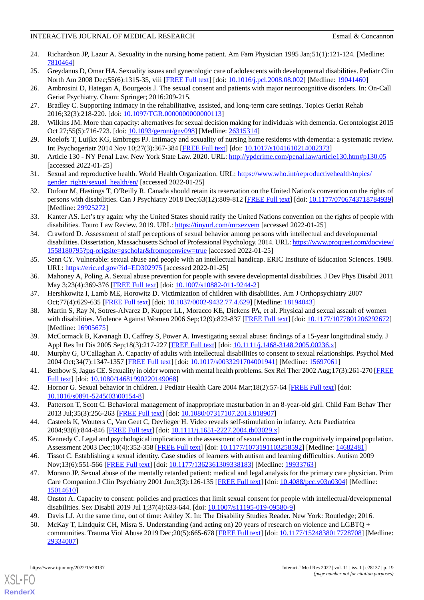- <span id="page-18-0"></span>24. Richardson JP, Lazur A. Sexuality in the nursing home patient. Am Fam Physician 1995 Jan;51(1):121-124. [Medline: [7810464\]](http://www.ncbi.nlm.nih.gov/entrez/query.fcgi?cmd=Retrieve&db=PubMed&list_uids=7810464&dopt=Abstract)
- <span id="page-18-2"></span><span id="page-18-1"></span>25. Greydanus D, Omar HA. Sexuality issues and gynecologic care of adolescents with developmental disabilities. Pediatr Clin North Am 2008 Dec;55(6):1315-35, viii [\[FREE Full text\]](https://doi.org/10.1016/j.pcl.2008.08.002) [doi: [10.1016/j.pcl.2008.08.002](http://dx.doi.org/10.1016/j.pcl.2008.08.002)] [Medline: [19041460\]](http://www.ncbi.nlm.nih.gov/entrez/query.fcgi?cmd=Retrieve&db=PubMed&list_uids=19041460&dopt=Abstract)
- <span id="page-18-3"></span>26. Ambrosini D, Hategan A, Bourgeois J. The sexual consent and patients with major neurocognitive disorders. In: On-Call Geriat Psychiatry. Cham: Springer; 2016:209-215.
- <span id="page-18-4"></span>27. Bradley C. Supporting intimacy in the rehabilitative, assisted, and long-term care settings. Topics Geriat Rehab 2016;32(3):218-220. [doi: [10.1097/TGR.0000000000000113](http://dx.doi.org/10.1097/TGR.0000000000000113)]
- <span id="page-18-5"></span>28. Wilkins JM. More than capacity: alternatives for sexual decision making for individuals with dementia. Gerontologist 2015 Oct 27;55(5):716-723. [doi: [10.1093/geront/gnv098\]](http://dx.doi.org/10.1093/geront/gnv098) [Medline: [26315314](http://www.ncbi.nlm.nih.gov/entrez/query.fcgi?cmd=Retrieve&db=PubMed&list_uids=26315314&dopt=Abstract)]
- <span id="page-18-6"></span>29. Roelofs T, Luijkx KG, Embregts PJ. Intimacy and sexuality of nursing home residents with dementia: a systematic review. Int Psychogeriatr 2014 Nov 10;27(3):367-384 [\[FREE Full text](https://doi.org/10.1017/S1041610214002373)] [doi: [10.1017/s1041610214002373\]](http://dx.doi.org/10.1017/s1041610214002373)
- <span id="page-18-7"></span>30. Article 130 - NY Penal Law. New York State Law. 2020. URL: <http://ypdcrime.com/penal.law/article130.htm#p130.05> [accessed 2022-01-25]
- <span id="page-18-8"></span>31. Sexual and reproductive health. World Health Organization. URL: [https://www.who.int/reproductivehealth/topics/](https://www.who.int/reproductivehealth/topics/gender_rights/sexual_health/en/) [gender\\_rights/sexual\\_health/en/](https://www.who.int/reproductivehealth/topics/gender_rights/sexual_health/en/) [accessed 2022-01-25]
- <span id="page-18-9"></span>32. Dufour M, Hastings T, O'Reilly R. Canada should retain its reservation on the United Nation's convention on the rights of persons with disabilities. Can J Psychiatry 2018 Dec;63(12):809-812 [[FREE Full text](http://europepmc.org/abstract/MED/29925272)] [doi: [10.1177/0706743718784939](http://dx.doi.org/10.1177/0706743718784939)] [Medline: [29925272](http://www.ncbi.nlm.nih.gov/entrez/query.fcgi?cmd=Retrieve&db=PubMed&list_uids=29925272&dopt=Abstract)]
- <span id="page-18-10"></span>33. Kanter AS. Let's try again: why the United States should ratify the United Nations convention on the rights of people with disabilities. Touro Law Review. 2019. URL: [https://tinyurl.com/mrxezvem](https://www.semanticscholar.org/paper/Let%E2%80%99s-Try-Again%3A-Why-the-United-States-Should-the-Kanter/deb1902d5190ff9e128e809b7c82ec0d44969890) [accessed 2022-01-25]
- <span id="page-18-11"></span>34. Crawford D. Assessment of staff perceptions of sexual behavior among persons with intellectual and developmental disabilities. Dissertation, Massachusetts School of Professional Psychology. 2014. URL: [https://www.proquest.com/docview/](https://www.proquest.com/docview/1558180795?pq-origsite=gscholar&fromopenview=true) [1558180795?pq-origsite=gscholar&fromopenview=true](https://www.proquest.com/docview/1558180795?pq-origsite=gscholar&fromopenview=true) [accessed 2022-01-25]
- <span id="page-18-13"></span><span id="page-18-12"></span>35. Senn CY. Vulnerable: sexual abuse and people with an intellectual handicap. ERIC Institute of Education Sciences. 1988. URL: <https://eric.ed.gov/?id=ED302975> [accessed 2022-01-25]
- <span id="page-18-14"></span>36. Mahoney A, Poling A. Sexual abuse prevention for people with severe developmental disabilities. J Dev Phys Disabil 2011 May 3;23(4):369-376 [[FREE Full text](https://link.springer.com/content/pdf/10.1007/s10882-011-9244-2.pdf)] [doi: [10.1007/s10882-011-9244-2](http://dx.doi.org/10.1007/s10882-011-9244-2)]
- 37. Hershkowitz I, Lamb ME, Horowitz D. Victimization of children with disabilities. Am J Orthopsychiatry 2007 Oct;77(4):629-635 [\[FREE Full text\]](https://doi.org/10.1037/0002-9432.77.4.629) [doi: [10.1037/0002-9432.77.4.629](http://dx.doi.org/10.1037/0002-9432.77.4.629)] [Medline: [18194043\]](http://www.ncbi.nlm.nih.gov/entrez/query.fcgi?cmd=Retrieve&db=PubMed&list_uids=18194043&dopt=Abstract)
- <span id="page-18-16"></span><span id="page-18-15"></span>38. Martin S, Ray N, Sotres-Alvarez D, Kupper LL, Moracco KE, Dickens PA, et al. Physical and sexual assault of women with disabilities. Violence Against Women 2006 Sep;12(9):823-837 [[FREE Full text](https://doi.org/10.1177/1077801206292672)] [doi: [10.1177/1077801206292672\]](http://dx.doi.org/10.1177/1077801206292672) [Medline: [16905675](http://www.ncbi.nlm.nih.gov/entrez/query.fcgi?cmd=Retrieve&db=PubMed&list_uids=16905675&dopt=Abstract)]
- <span id="page-18-17"></span>39. McCormack B, Kavanagh D, Caffrey S, Power A. Investigating sexual abuse: findings of a 15-year longitudinal study. J Appl Res Int Dis 2005 Sep;18(3):217-227 [\[FREE Full text\]](https://doi.org/10.1111/j.1468-3148.2005.00236.x) [doi: [10.1111/j.1468-3148.2005.00236.x](http://dx.doi.org/10.1111/j.1468-3148.2005.00236.x)]
- <span id="page-18-18"></span>40. Murphy G, O'Callaghan A. Capacity of adults with intellectual disabilities to consent to sexual relationships. Psychol Med 2004 Oct;34(7):1347-1357 [[FREE Full text](https://doi.org/10.1017/S0033291704001941)] [doi: [10.1017/s0033291704001941\]](http://dx.doi.org/10.1017/s0033291704001941) [Medline: [15697061](http://www.ncbi.nlm.nih.gov/entrez/query.fcgi?cmd=Retrieve&db=PubMed&list_uids=15697061&dopt=Abstract)]
- 41. Benbow S, Jagus CE. Sexuality in older women with mental health problems. Sex Rel Ther 2002 Aug;17(3):261-270 [\[FREE](https://doi.org/10.1080/14681990220149068) [Full text\]](https://doi.org/10.1080/14681990220149068) [doi: [10.1080/14681990220149068\]](http://dx.doi.org/10.1080/14681990220149068)
- <span id="page-18-20"></span><span id="page-18-19"></span>42. Hornor G. Sexual behavior in children. J Pediatr Health Care 2004 Mar;18(2):57-64 [\[FREE Full text\]](https://doi.org/10.1016/S0891-5245(03)00154-8) [doi: [10.1016/s0891-5245\(03\)00154-8](http://dx.doi.org/10.1016/s0891-5245(03)00154-8)]
- <span id="page-18-21"></span>43. Patterson T, Scott C. Behavioral management of inappropriate masturbation in an 8-year-old girl. Child Fam Behav Ther 2013 Jul;35(3):256-263 [\[FREE Full text\]](https://doi.org/10.1080/07317107.2013.818907) [doi: [10.1080/07317107.2013.818907\]](http://dx.doi.org/10.1080/07317107.2013.818907)
- <span id="page-18-22"></span>44. Casteels K, Wouters C, Van Geet C, Devlieger H. Video reveals self-stimulation in infancy. Acta Paediatrica 2004;93(6):844-846 [[FREE Full text](https://doi.org/10.1111/j.1651-2227.2004.tb03029.x)] [doi: [10.1111/j.1651-2227.2004.tb03029.x\]](http://dx.doi.org/10.1111/j.1651-2227.2004.tb03029.x)
- 45. Kennedy C. Legal and psychological implications in the assessment of sexual consent in the cognitively impaired population. Assessment 2003 Dec;10(4):352-358 [\[FREE Full text\]](https://doi.org/10.1177/1073191103258592) [doi: [10.1177/1073191103258592](http://dx.doi.org/10.1177/1073191103258592)] [Medline: [14682481\]](http://www.ncbi.nlm.nih.gov/entrez/query.fcgi?cmd=Retrieve&db=PubMed&list_uids=14682481&dopt=Abstract)
- <span id="page-18-24"></span><span id="page-18-23"></span>46. Tissot C. Establishing a sexual identity. Case studies of learners with autism and learning difficulties. Autism 2009 Nov;13(6):551-566 [[FREE Full text](https://doi.org/10.1177/1362361309338183)] [doi: [10.1177/1362361309338183\]](http://dx.doi.org/10.1177/1362361309338183) [Medline: [19933763\]](http://www.ncbi.nlm.nih.gov/entrez/query.fcgi?cmd=Retrieve&db=PubMed&list_uids=19933763&dopt=Abstract)
- <span id="page-18-25"></span>47. Morano JP. Sexual abuse of the mentally retarded patient: medical and legal analysis for the primary care physician. Prim Care Companion J Clin Psychiatry 2001 Jun;3(3):126-135 [[FREE Full text](http://www.psychiatrist.com/pcc/sexual-abuse-mentally-retarded-patient-medical-legal)] [doi: [10.4088/pcc.v03n0304\]](http://dx.doi.org/10.4088/pcc.v03n0304) [Medline: [15014610](http://www.ncbi.nlm.nih.gov/entrez/query.fcgi?cmd=Retrieve&db=PubMed&list_uids=15014610&dopt=Abstract)]
- 48. Onstot A. Capacity to consent: policies and practices that limit sexual consent for people with intellectual/developmental disabilities. Sex Disabil 2019 Jul 1;37(4):633-644. [doi: [10.1007/s11195-019-09580-9](http://dx.doi.org/10.1007/s11195-019-09580-9)]
- 49. Davis LJ. At the same time, out of time: Ashley X. In: The Disability Studies Reader. New York: Routledge; 2016.
- 50. McKay T, Lindquist CH, Misra S. Understanding (and acting on) 20 years of research on violence and LGBTQ + communities. Trauma Viol Abuse 2019 Dec;20(5):665-678 [[FREE Full text](https://doi.org/10.1177/1524838017728708)] [doi: [10.1177/1524838017728708\]](http://dx.doi.org/10.1177/1524838017728708) [Medline: [29334007](http://www.ncbi.nlm.nih.gov/entrez/query.fcgi?cmd=Retrieve&db=PubMed&list_uids=29334007&dopt=Abstract)]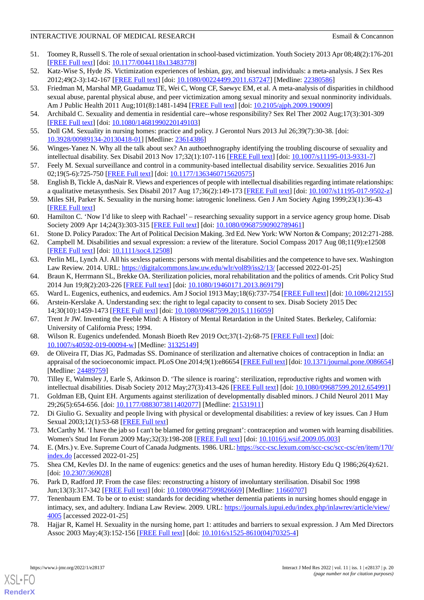- 51. Toomey R, Russell S. The role of sexual orientation in school-based victimization. Youth Society 2013 Apr 08;48(2):176-201 [[FREE Full text](https://doi.org/10.1177/0044118X13483778)] [doi: [10.1177/0044118x13483778\]](http://dx.doi.org/10.1177/0044118x13483778)
- <span id="page-19-0"></span>52. Katz-Wise S, Hyde JS. Victimization experiences of lesbian, gay, and bisexual individuals: a meta-analysis. J Sex Res 2012;49(2-3):142-167 [\[FREE Full text\]](https://doi.org/10.1080/00224499.2011.637247) [doi: [10.1080/00224499.2011.637247](http://dx.doi.org/10.1080/00224499.2011.637247)] [Medline: [22380586\]](http://www.ncbi.nlm.nih.gov/entrez/query.fcgi?cmd=Retrieve&db=PubMed&list_uids=22380586&dopt=Abstract)
- 53. Friedman M, Marshal MP, Guadamuz TE, Wei C, Wong CF, Saewyc EM, et al. A meta-analysis of disparities in childhood sexual abuse, parental physical abuse, and peer victimization among sexual minority and sexual nonminority individuals. Am J Public Health 2011 Aug;101(8):1481-1494 [[FREE Full text](https://doi.org/10.2105/AJPH.2009.190009)] [doi: [10.2105/ajph.2009.190009\]](http://dx.doi.org/10.2105/ajph.2009.190009)
- <span id="page-19-2"></span><span id="page-19-1"></span>54. Archibald C. Sexuality and dementia in residential care--whose responsibility? Sex Rel Ther 2002 Aug;17(3):301-309 [[FREE Full text](https://doi.org/10.1080/14681990220149103)] [doi: [10.1080/14681990220149103\]](http://dx.doi.org/10.1080/14681990220149103)
- <span id="page-19-3"></span>55. Doll GM. Sexuality in nursing homes: practice and policy. J Gerontol Nurs 2013 Jul 26;39(7):30-38. [doi: [10.3928/00989134-20130418-01](http://dx.doi.org/10.3928/00989134-20130418-01)] [Medline: [23614386](http://www.ncbi.nlm.nih.gov/entrez/query.fcgi?cmd=Retrieve&db=PubMed&list_uids=23614386&dopt=Abstract)]
- <span id="page-19-4"></span>56. Winges-Yanez N. Why all the talk about sex? An authoethnography identifying the troubling discourse of sexuality and intellectual disability. Sex Disabil 2013 Nov 17;32(1):107-116 [\[FREE Full text\]](https://link.springer.com/content/pdf/10.1007/s11195-013-9331-7.pdf) [doi: [10.1007/s11195-013-9331-7](http://dx.doi.org/10.1007/s11195-013-9331-7)]
- <span id="page-19-5"></span>57. Feely M. Sexual surveillance and control in a community-based intellectual disability service. Sexualities 2016 Jun 02;19(5-6):725-750 [\[FREE Full text\]](https://doi.org/10.1177/1363460715620575) [doi: [10.1177/1363460715620575](http://dx.doi.org/10.1177/1363460715620575)]
- <span id="page-19-6"></span>58. English B, Tickle A, dasNair R. Views and experiences of people with intellectual disabilities regarding intimate relationships: a qualitative metasynthesis. Sex Disabil 2017 Aug 17;36(2):149-173 [\[FREE Full text\]](https://link.springer.com/article/10.1007/s11195-017-9502-z) [doi: [10.1007/s11195-017-9502-z\]](http://dx.doi.org/10.1007/s11195-017-9502-z)
- <span id="page-19-7"></span>59. Miles SH, Parker K. Sexuality in the nursing home: iatrogenic loneliness. Gen J Am Society Aging 1999;23(1):36-43 [[FREE Full text](https://www.jstor.org/stable/44873333)]
- <span id="page-19-9"></span><span id="page-19-8"></span>60. Hamilton C. 'Now I'd like to sleep with Rachael' – researching sexuality support in a service agency group home. Disab Society 2009 Apr 14;24(3):303-315 [[FREE Full text](https://doi.org/10.1080/09687590902789461)] [doi: [10.1080/09687590902789461\]](http://dx.doi.org/10.1080/09687590902789461)
- <span id="page-19-10"></span>61. Stone D. Policy Paradox: The Art of Political Decision Making. 3rd Ed. New York: WW Norton & Company; 2012:271-288.
- <span id="page-19-11"></span>62. Campbell M. Disabilities and sexual expression: a review of the literature. Sociol Compass 2017 Aug 08;11(9):e12508 [[FREE Full text](https://doi.org/10.1111/soc4.12508)] [doi: [10.1111/soc4.12508\]](http://dx.doi.org/10.1111/soc4.12508)
- <span id="page-19-12"></span>63. Perlin ML, Lynch AJ. All his sexless patients: persons with mental disabilities and the competence to have sex. Washington Law Review. 2014. URL:<https://digitalcommons.law.uw.edu/wlr/vol89/iss2/13/> [accessed 2022-01-25]
- <span id="page-19-13"></span>64. Braun K, Herrmann SL, Brekke OA. Sterilization policies, moral rehabilitation and the politics of amends. Crit Policy Stud 2014 Jun 19;8(2):203-226 [[FREE Full text](https://doi.org/10.1080/19460171.2013.869179)] [doi: [10.1080/19460171.2013.869179\]](http://dx.doi.org/10.1080/19460171.2013.869179)
- <span id="page-19-14"></span>65. Ward L. Eugenics, euthenics, and eudemics. Am J Sociol 1913 May;18(6):737-754 [[FREE Full text](https://www.journals.uchicago.edu/doi/pdf/10.1086/212155)] [doi: [10.1086/212155](http://dx.doi.org/10.1086/212155)]
- <span id="page-19-15"></span>66. Arstein-Kerslake A. Understanding sex: the right to legal capacity to consent to sex. Disab Society 2015 Dec 14;30(10):1459-1473 [[FREE Full text](https://doi.org/10.1080/09687599.2015.1116059)] [doi: [10.1080/09687599.2015.1116059\]](http://dx.doi.org/10.1080/09687599.2015.1116059)
- <span id="page-19-16"></span>67. Trent Jr JW. Inventing the Feeble Mind: A History of Mental Retardation in the United States. Berkeley, California: University of California Press; 1994.
- <span id="page-19-17"></span>68. Wilson R. Eugenics undefended. Monash Bioeth Rev 2019 Oct;37(1-2):68-75 [[FREE Full text](https://link.springer.com/article/10.1007/s40592-019-00094-w)] [doi: [10.1007/s40592-019-00094-w\]](http://dx.doi.org/10.1007/s40592-019-00094-w) [Medline: [31325149\]](http://www.ncbi.nlm.nih.gov/entrez/query.fcgi?cmd=Retrieve&db=PubMed&list_uids=31325149&dopt=Abstract)
- <span id="page-19-18"></span>69. de Oliveira IT, Dias JG, Padmadas SS. Dominance of sterilization and alternative choices of contraception in India: an appraisal of the socioeconomic impact. PLoS One 2014;9(1):e86654 [\[FREE Full text](https://dx.plos.org/10.1371/journal.pone.0086654)] [doi: [10.1371/journal.pone.0086654](http://dx.doi.org/10.1371/journal.pone.0086654)] [Medline: [24489759](http://www.ncbi.nlm.nih.gov/entrez/query.fcgi?cmd=Retrieve&db=PubMed&list_uids=24489759&dopt=Abstract)]
- <span id="page-19-19"></span>70. Tilley E, Walmsley J, Earle S, Atkinson D. 'The silence is roaring': sterilization, reproductive rights and women with intellectual disabilities. Disab Society 2012 May;27(3):413-426 [\[FREE Full text\]](https://doi.org/10.1080/09687599.2012.654991) [doi: [10.1080/09687599.2012.654991](http://dx.doi.org/10.1080/09687599.2012.654991)]
- <span id="page-19-21"></span><span id="page-19-20"></span>71. Goldman EB, Quint EH. Arguments against sterilization of developmentally disabled minors. J Child Neurol 2011 May 29;26(5):654-656. [doi: [10.1177/0883073811402077\]](http://dx.doi.org/10.1177/0883073811402077) [Medline: [21531911](http://www.ncbi.nlm.nih.gov/entrez/query.fcgi?cmd=Retrieve&db=PubMed&list_uids=21531911&dopt=Abstract)]
- <span id="page-19-22"></span>72. Di Giulio G. Sexuality and people living with physical or developmental disabilities: a review of key issues. Can J Hum Sexual 2003;12(1):53-68 [\[FREE Full text\]](https://www.researchgate.net/publication/279569171_Sexuality_and_people_living_with_physical_or_developmental_disabilities_A_review_of_key_issues)
- <span id="page-19-23"></span>73. McCarthy M. 'I have the jab so I can't be blamed for getting pregnant': contraception and women with learning disabilities. Women's Stud Int Forum 2009 May;32(3):198-208 [\[FREE Full text\]](https://doi.org/10.1016/j.wsif.2009.05.003) [doi: [10.1016/j.wsif.2009.05.003](http://dx.doi.org/10.1016/j.wsif.2009.05.003)]
- <span id="page-19-24"></span>74. E. (Mrs.) v. Eve. Supreme Court of Canada Judgments. 1986. URL: [https://scc-csc.lexum.com/scc-csc/scc-csc/en/item/170/](https://scc-csc.lexum.com/scc-csc/scc-csc/en/item/170/index.do) [index.do](https://scc-csc.lexum.com/scc-csc/scc-csc/en/item/170/index.do) [accessed 2022-01-25]
- <span id="page-19-25"></span>75. Shea CM, Kevles DJ. In the name of eugenics: genetics and the uses of human heredity. History Edu Q 1986;26(4):621. [doi: [10.2307/369028](http://dx.doi.org/10.2307/369028)]
- 76. Park D, Radford JP. From the case files: reconstructing a history of involuntary sterilisation. Disabil Soc 1998 Jun;13(3):317-342 [[FREE Full text](https://doi.org/10.1080/09687599826669)] [doi: [10.1080/09687599826669\]](http://dx.doi.org/10.1080/09687599826669) [Medline: [11660707\]](http://www.ncbi.nlm.nih.gov/entrez/query.fcgi?cmd=Retrieve&db=PubMed&list_uids=11660707&dopt=Abstract)
- 77. Tenenbaum EM. To be or to exist: standards for deciding whether dementia patients in nursing homes should engage in intimacy, sex, and adultery. Indiana Law Review. 2009. URL: [https://journals.iupui.edu/index.php/inlawrev/article/view/](https://journals.iupui.edu/index.php/inlawrev/article/view/4005) [4005](https://journals.iupui.edu/index.php/inlawrev/article/view/4005) [accessed 2022-01-25]
- 78. Hajjar R, Kamel H. Sexuality in the nursing home, part 1: attitudes and barriers to sexual expression. J Am Med Directors Assoc 2003 May;4(3):152-156 [[FREE Full text](https://doi.org/10.1016/S1525-8610(04)70325-4)] [doi: [10.1016/s1525-8610\(04\)70325-4\]](http://dx.doi.org/10.1016/s1525-8610(04)70325-4)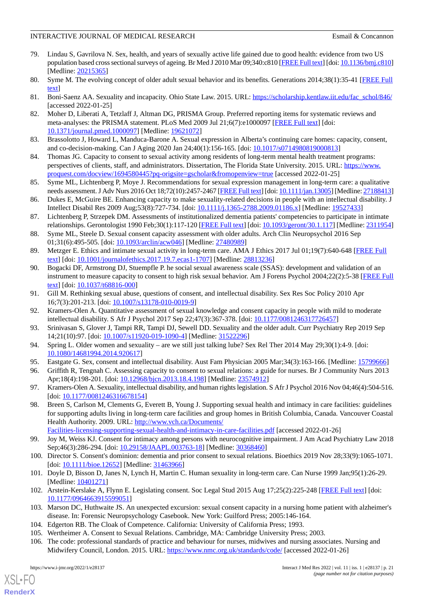- <span id="page-20-0"></span>79. Lindau S, Gavrilova N. Sex, health, and years of sexually active life gained due to good health: evidence from two US population based cross sectional surveys of ageing. Br Med J 2010 Mar 09;340:c810 [\[FREE Full text](http://europepmc.org/abstract/MED/20215365)] [doi: [10.1136/bmj.c810](http://dx.doi.org/10.1136/bmj.c810)] [Medline: [20215365](http://www.ncbi.nlm.nih.gov/entrez/query.fcgi?cmd=Retrieve&db=PubMed&list_uids=20215365&dopt=Abstract)]
- <span id="page-20-2"></span><span id="page-20-1"></span>80. Syme M. The evolving concept of older adult sexual behavior and its benefits. Generations 2014;38(1):35-41 [\[FREE Full](https://www.ingentaconnect.com/content/asag/gen/2014/00000038/00000001/art00007) [text](https://www.ingentaconnect.com/content/asag/gen/2014/00000038/00000001/art00007)]
- <span id="page-20-3"></span>81. Boni-Saenz AA. Sexuality and incapacity. Ohio State Law. 2015. URL: [https://scholarship.kentlaw.iit.edu/fac\\_schol/846/](https://scholarship.kentlaw.iit.edu/fac_schol/846/) [accessed 2022-01-25]
- <span id="page-20-4"></span>82. Moher D, Liberati A, Tetzlaff J, Altman DG, PRISMA Group. Preferred reporting items for systematic reviews and meta-analyses: the PRISMA statement. PLoS Med 2009 Jul 21;6(7):e1000097 [[FREE Full text](https://dx.plos.org/10.1371/journal.pmed.1000097)] [doi: [10.1371/journal.pmed.1000097](http://dx.doi.org/10.1371/journal.pmed.1000097)] [Medline: [19621072](http://www.ncbi.nlm.nih.gov/entrez/query.fcgi?cmd=Retrieve&db=PubMed&list_uids=19621072&dopt=Abstract)]
- <span id="page-20-5"></span>83. Brassolotto J, Howard L, Manduca-Barone A. Sexual expression in Alberta's continuing care homes: capacity, consent, and co-decision-making. Can J Aging 2020 Jan 24;40(1):156-165. [doi: [10.1017/s0714980819000813\]](http://dx.doi.org/10.1017/s0714980819000813)
- <span id="page-20-6"></span>84. Thomas JG. Capacity to consent to sexual activity among residents of long-term mental health treatment programs: perspectives of clients, staff, and administrators. Dissertation, The Florida State University. 2015. URL: [https://www.](https://www.proquest.com/docview/1694580445?pq-origsite=gscholar&fromopenview=true) [proquest.com/docview/1694580445?pq-origsite=gscholar&fromopenview=true](https://www.proquest.com/docview/1694580445?pq-origsite=gscholar&fromopenview=true) [accessed 2022-01-25]
- <span id="page-20-7"></span>85. Syme ML, Lichtenberg P, Moye J. Recommendations for sexual expression management in long-term care: a qualitative needs assessment. J Adv Nurs 2016 Oct 18;72(10):2457-2467 [\[FREE Full text\]](http://europepmc.org/abstract/MED/27188413) [doi: [10.1111/jan.13005](http://dx.doi.org/10.1111/jan.13005)] [Medline: [27188413\]](http://www.ncbi.nlm.nih.gov/entrez/query.fcgi?cmd=Retrieve&db=PubMed&list_uids=27188413&dopt=Abstract)
- <span id="page-20-8"></span>86. Dukes E, McGuire BE. Enhancing capacity to make sexuality-related decisions in people with an intellectual disability. J Intellect Disabil Res 2009 Aug;53(8):727-734. [doi: [10.1111/j.1365-2788.2009.01186.x\]](http://dx.doi.org/10.1111/j.1365-2788.2009.01186.x) [Medline: [19527433](http://www.ncbi.nlm.nih.gov/entrez/query.fcgi?cmd=Retrieve&db=PubMed&list_uids=19527433&dopt=Abstract)]
- <span id="page-20-15"></span>87. Lichtenberg P, Strzepek DM. Assessments of institutionalized dementia patients' competencies to participate in intimate relationships. Gerontologist 1990 Feb;30(1):117-120 [[FREE Full text](https://doi.org/10.1093/geront/30.1.117)] [doi: [10.1093/geront/30.1.117](http://dx.doi.org/10.1093/geront/30.1.117)] [Medline: [2311954](http://www.ncbi.nlm.nih.gov/entrez/query.fcgi?cmd=Retrieve&db=PubMed&list_uids=2311954&dopt=Abstract)]
- <span id="page-20-22"></span><span id="page-20-9"></span>88. Syme ML, Steele D. Sexual consent capacity assessment with older adults. Arch Clin Neuropsychol 2016 Sep 01;31(6):495-505. [doi: [10.1093/arclin/acw046](http://dx.doi.org/10.1093/arclin/acw046)] [Medline: [27480989](http://www.ncbi.nlm.nih.gov/entrez/query.fcgi?cmd=Retrieve&db=PubMed&list_uids=27480989&dopt=Abstract)]
- 89. Metzger E. Ethics and intimate sexual activity in long-term care. AMA J Ethics 2017 Jul 01;19(7):640-648 [[FREE Full](https://journalofethics.ama-assn.org/article/ethics-and-intimate-sexual-activity-long-term-care/2017-07) [text](https://journalofethics.ama-assn.org/article/ethics-and-intimate-sexual-activity-long-term-care/2017-07)] [doi: [10.1001/journalofethics.2017.19.7.ecas1-1707](http://dx.doi.org/10.1001/journalofethics.2017.19.7.ecas1-1707)] [Medline: [28813236](http://www.ncbi.nlm.nih.gov/entrez/query.fcgi?cmd=Retrieve&db=PubMed&list_uids=28813236&dopt=Abstract)]
- <span id="page-20-21"></span><span id="page-20-14"></span>90. Bogacki DF, Armstrong DJ, Stuempfle P. he social sexual awareness scale (SSAS): development and validation of an instrument to measure capacity to consent to high risk sexual behavior. Am J Forens Psychol 2004;22(2):5-38 [[FREE Full](https://www.scopus.com/inward/record.uri?eid=2-s2.0-2442429436&partnerID=40&md5=b51acf76ef2e815baa4026bf56233645) [text](https://www.scopus.com/inward/record.uri?eid=2-s2.0-2442429436&partnerID=40&md5=b51acf76ef2e815baa4026bf56233645)] [doi: [10.1037/t68816-000\]](http://dx.doi.org/10.1037/t68816-000)
- <span id="page-20-10"></span>91. Gill M. Rethinking sexual abuse, questions of consent, and intellectual disability. Sex Res Soc Policy 2010 Apr 16;7(3):201-213. [doi: [10.1007/s13178-010-0019-9\]](http://dx.doi.org/10.1007/s13178-010-0019-9)
- <span id="page-20-11"></span>92. Kramers-Olen A. Quantitative assessment of sexual knowledge and consent capacity in people with mild to moderate intellectual disability. S Afr J Psychol 2017 Sep 22;47(3):367-378. [doi: [10.1177/0081246317726457](http://dx.doi.org/10.1177/0081246317726457)]
- <span id="page-20-23"></span><span id="page-20-12"></span>93. Srinivasan S, Glover J, Tampi RR, Tampi DJ, Sewell DD. Sexuality and the older adult. Curr Psychiatry Rep 2019 Sep 14;21(10):97. [doi: [10.1007/s11920-019-1090-4](http://dx.doi.org/10.1007/s11920-019-1090-4)] [Medline: [31522296](http://www.ncbi.nlm.nih.gov/entrez/query.fcgi?cmd=Retrieve&db=PubMed&list_uids=31522296&dopt=Abstract)]
- <span id="page-20-13"></span>94. Spring L. Older women and sexuality – are we still just talking lube? Sex Rel Ther 2014 May 29;30(1):4-9. [doi: [10.1080/14681994.2014.920617\]](http://dx.doi.org/10.1080/14681994.2014.920617)
- <span id="page-20-16"></span>95. Eastgate G. Sex, consent and intellectual disability. Aust Fam Physician 2005 Mar;34(3):163-166. [Medline: [15799666\]](http://www.ncbi.nlm.nih.gov/entrez/query.fcgi?cmd=Retrieve&db=PubMed&list_uids=15799666&dopt=Abstract)
- 96. Griffith R, Tengnah C. Assessing capacity to consent to sexual relations: a guide for nurses. Br J Community Nurs 2013 Apr;18(4):198-201. [doi: [10.12968/bjcn.2013.18.4.198](http://dx.doi.org/10.12968/bjcn.2013.18.4.198)] [Medline: [23574912](http://www.ncbi.nlm.nih.gov/entrez/query.fcgi?cmd=Retrieve&db=PubMed&list_uids=23574912&dopt=Abstract)]
- <span id="page-20-17"></span>97. Kramers-Olen A. Sexuality, intellectual disability, and human rights legislation. S Afr J Psychol 2016 Nov 04;46(4):504-516. [doi: [10.1177/0081246316678154](http://dx.doi.org/10.1177/0081246316678154)]
- <span id="page-20-18"></span>98. Breen S, Carlson M, Clements G, Everett B, Young J. Supporting sexual health and intimacy in care facilities: guidelines for supporting adults living in long-term care facilities and group homes in British Columbia, Canada. Vancouver Coastal Health Authority. 2009. URL: [http://www.vch.ca/Documents/](http://www.vch.ca/Documents/Facilities-licensing-supporting-sexual-health-and-intimacy-in-care-facilities.pdf)
- <span id="page-20-20"></span><span id="page-20-19"></span>[Facilities-licensing-supporting-sexual-health-and-intimacy-in-care-facilities.pdf](http://www.vch.ca/Documents/Facilities-licensing-supporting-sexual-health-and-intimacy-in-care-facilities.pdf) [accessed 2022-01-26] 99. Joy M, Weiss KJ. Consent for intimacy among persons with neurocognitive impairment. J Am Acad Psychiatry Law 2018 Sep;46(3):286-294. [doi: [10.29158/JAAPL.003763-18\]](http://dx.doi.org/10.29158/JAAPL.003763-18) [Medline: [30368460\]](http://www.ncbi.nlm.nih.gov/entrez/query.fcgi?cmd=Retrieve&db=PubMed&list_uids=30368460&dopt=Abstract)
- <span id="page-20-24"></span>100. Director S. Consent's dominion: dementia and prior consent to sexual relations. Bioethics 2019 Nov 28;33(9):1065-1071. [doi: [10.1111/bioe.12652\]](http://dx.doi.org/10.1111/bioe.12652) [Medline: [31463966\]](http://www.ncbi.nlm.nih.gov/entrez/query.fcgi?cmd=Retrieve&db=PubMed&list_uids=31463966&dopt=Abstract)
- <span id="page-20-26"></span><span id="page-20-25"></span>101. Doyle D, Bisson D, Janes N, Lynch H, Martin C. Human sexuality in long-term care. Can Nurse 1999 Jan;95(1):26-29. [Medline: [10401271](http://www.ncbi.nlm.nih.gov/entrez/query.fcgi?cmd=Retrieve&db=PubMed&list_uids=10401271&dopt=Abstract)]
- <span id="page-20-27"></span>102. Arstein-Kerslake A, Flynn E. Legislating consent. Soc Legal Stud 2015 Aug 17;25(2):225-248 [\[FREE Full text\]](https://doi.org/10.1177/0964663915599051) [doi: [10.1177/0964663915599051\]](http://dx.doi.org/10.1177/0964663915599051)
- 103. Marson DC, Huthwaite JS. An unexpected excursion: sexual consent capacity in a nursing home patient with alzheimer's disease. In: Forensic Neuropsychology Casebook. New York: Guilford Press; 2005:146-164.
- 104. Edgerton RB. The Cloak of Competence. California: University of California Press; 1993.
- 105. Wertheimer A. Consent to Sexual Relations. Cambridge, MA: Cambridge University Press; 2003.
- 106. The code: professional standards of practice and behaviour for nurses, midwives and nursing associates. Nursing and Midwifery Council, London. 2015. URL: <https://www.nmc.org.uk/standards/code/> [accessed 2022-01-26]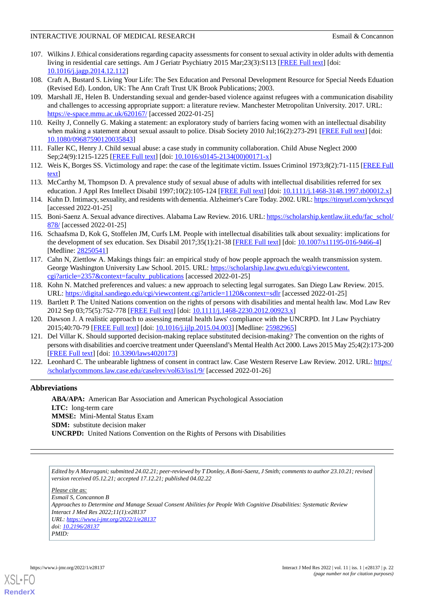- <span id="page-21-0"></span>107. Wilkins J. Ethical considerations regarding capacity assessments for consent to sexual activity in older adults with dementia living in residential care settings. Am J Geriatr Psychiatry 2015 Mar;23(3):S113 [[FREE Full text\]](https://doi.org/10.1016/j.jagp.2014.12.112) [doi: [10.1016/j.jagp.2014.12.112\]](http://dx.doi.org/10.1016/j.jagp.2014.12.112)
- <span id="page-21-2"></span><span id="page-21-1"></span>108. Craft A, Bustard S. Living Your Life: The Sex Education and Personal Development Resource for Special Needs Eduation (Revised Ed). London, UK: The Ann Craft Trust UK Brook Publications; 2003.
- 109. Marshall JE, Helen B. Understanding sexual and gender-based violence against refugees with a communication disability and challenges to accessing appropriate support: a literature review. Manchester Metropolitan University. 2017. URL: <https://e-space.mmu.ac.uk/620167/> [accessed 2022-01-25]
- <span id="page-21-3"></span>110. Keilty J, Connelly G. Making a statement: an exploratory study of barriers facing women with an intellectual disability when making a statement about sexual assault to police. Disab Society 2010 Jul;16(2):273-291 [[FREE Full text](https://doi.org/10.1080/09687590120035843)] [doi: [10.1080/09687590120035843\]](http://dx.doi.org/10.1080/09687590120035843)
- <span id="page-21-4"></span>111. Faller KC, Henry J. Child sexual abuse: a case study in community collaboration. Child Abuse Neglect 2000 Sep;24(9):1215-1225 [[FREE Full text](https://doi.org/10.1016/S0145-2134(00)00171-X)] [doi: [10.1016/s0145-2134\(00\)00171-x](http://dx.doi.org/10.1016/s0145-2134(00)00171-x)]
- <span id="page-21-5"></span>112. Weis K, Borges SS. Victimology and rape: the case of the legitimate victim. Issues Criminol 1973;8(2):71-115 [[FREE Full](https://www.jstor.org/stable/42909686) [text](https://www.jstor.org/stable/42909686)]
- <span id="page-21-6"></span>113. McCarthy M, Thompson D. A prevalence study of sexual abuse of adults with intellectual disabilities referred for sex education. J Appl Res Intellect Disabil 1997;10(2):105-124 [[FREE Full text](https://doi.org/10.1111/j.1468-3148.1997.tb00012.x)] [doi: [10.1111/j.1468-3148.1997.tb00012.x\]](http://dx.doi.org/10.1111/j.1468-3148.1997.tb00012.x)
- <span id="page-21-7"></span>114. Kuhn D. Intimacy, sexuality, and residents with dementia. Alzheimer's Care Today. 2002. URL: [https://tinyurl.com/yckrscyd](https://www.researchgate.net/profile/Daniel-Kuhn-2/publication/232173050_Intimacy_Sexuality_and_Residents_with_Dementia/links/5658b3a408aefe619b213997/Intimacy-Sexuality-and-Residents-with-Dementia.pdf) [accessed 2022-01-25]
- <span id="page-21-8"></span>115. Boni-Saenz A. Sexual advance directives. Alabama Law Review. 2016. URL: [https://scholarship.kentlaw.iit.edu/fac\\_schol/](https://scholarship.kentlaw.iit.edu/fac_schol/878/) [878/](https://scholarship.kentlaw.iit.edu/fac_schol/878/) [accessed 2022-01-25]
- <span id="page-21-9"></span>116. Schaafsma D, Kok G, Stoffelen JM, Curfs LM. People with intellectual disabilities talk about sexuality: implications for the development of sex education. Sex Disabil 2017;35(1):21-38 [\[FREE Full text\]](http://europepmc.org/abstract/MED/28250541) [doi: [10.1007/s11195-016-9466-4](http://dx.doi.org/10.1007/s11195-016-9466-4)] [Medline: [28250541](http://www.ncbi.nlm.nih.gov/entrez/query.fcgi?cmd=Retrieve&db=PubMed&list_uids=28250541&dopt=Abstract)]
- <span id="page-21-11"></span><span id="page-21-10"></span>117. Cahn N, Ziettlow A. Makings things fair: an empirical study of how people approach the wealth transmission system. George Washington University Law School. 2015. URL: [https://scholarship.law.gwu.edu/cgi/viewcontent.](https://scholarship.law.gwu.edu/cgi/viewcontent.cgi?article=2357&context=faculty_publications) [cgi?article=2357&context=faculty\\_publications](https://scholarship.law.gwu.edu/cgi/viewcontent.cgi?article=2357&context=faculty_publications) [accessed 2022-01-25]
- 118. Kohn N. Matched preferences and values: a new approach to selecting legal surrogates. San Diego Law Review. 2015. URL: <https://digital.sandiego.edu/cgi/viewcontent.cgi?article=1120&context=sdlr> [accessed 2022-01-25]
- <span id="page-21-12"></span>119. Bartlett P. The United Nations convention on the rights of persons with disabilities and mental health law. Mod Law Rev 2012 Sep 03;75(5):752-778 [[FREE Full text](https://doi.org/10.1111/j.1468-2230.2012.00923.x)] [doi: [10.1111/j.1468-2230.2012.00923.x\]](http://dx.doi.org/10.1111/j.1468-2230.2012.00923.x)
- <span id="page-21-13"></span>120. Dawson J. A realistic approach to assessing mental health laws' compliance with the UNCRPD. Int J Law Psychiatry 2015;40:70-79 [\[FREE Full text\]](https://doi.org/10.1016/j.ijlp.2015.04.003) [doi: [10.1016/j.ijlp.2015.04.003](http://dx.doi.org/10.1016/j.ijlp.2015.04.003)] [Medline: [25982965](http://www.ncbi.nlm.nih.gov/entrez/query.fcgi?cmd=Retrieve&db=PubMed&list_uids=25982965&dopt=Abstract)]
- 121. Del Villar K. Should supported decision-making replace substituted decision-making? The convention on the rights of persons with disabilities and coercive treatment under Queensland's Mental Health Act 2000. Laws 2015 May 25;4(2):173-200 [[FREE Full text](https://doi.org/10.3390/laws4020173)] [doi: [10.3390/laws4020173\]](http://dx.doi.org/10.3390/laws4020173)
- 122. Leonhard C. The unbearable lightness of consent in contract law. Case Western Reserve Law Review. 2012. URL: [https:/](https://scholarlycommons.law.case.edu/caselrev/vol63/iss1/9/) [/scholarlycommons.law.case.edu/caselrev/vol63/iss1/9/](https://scholarlycommons.law.case.edu/caselrev/vol63/iss1/9/) [accessed 2022-01-26]

## **Abbreviations**

**ABA/APA:** American Bar Association and American Psychological Association **LTC:** long-term care **MMSE:** Mini-Mental Status Exam **SDM:** substitute decision maker **UNCRPD:** United Nations Convention on the Rights of Persons with Disabilities

*Edited by A Mavragani; submitted 24.02.21; peer-reviewed by T Donley, A Boni-Saenz, J Smith; comments to author 23.10.21; revised version received 05.12.21; accepted 17.12.21; published 04.02.22*

*Please cite as: Esmail S, Concannon B Approaches to Determine and Manage Sexual Consent Abilities for People With Cognitive Disabilities: Systematic Review Interact J Med Res 2022;11(1):e28137 URL: <https://www.i-jmr.org/2022/1/e28137> doi: [10.2196/28137](http://dx.doi.org/10.2196/28137) PMID:*